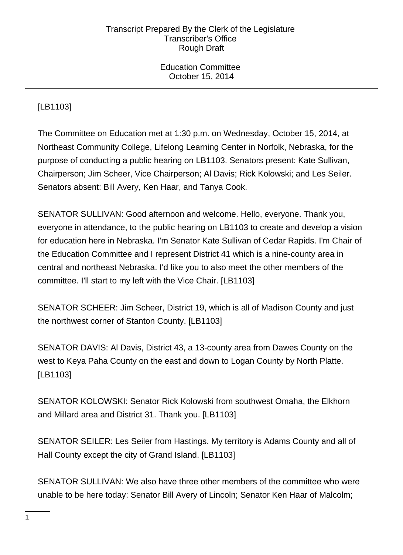Education Committee October 15, 2014

# [LB1103]

The Committee on Education met at 1:30 p.m. on Wednesday, October 15, 2014, at Northeast Community College, Lifelong Learning Center in Norfolk, Nebraska, for the purpose of conducting a public hearing on LB1103. Senators present: Kate Sullivan, Chairperson; Jim Scheer, Vice Chairperson; Al Davis; Rick Kolowski; and Les Seiler. Senators absent: Bill Avery, Ken Haar, and Tanya Cook.

SENATOR SULLIVAN: Good afternoon and welcome. Hello, everyone. Thank you, everyone in attendance, to the public hearing on LB1103 to create and develop a vision for education here in Nebraska. I'm Senator Kate Sullivan of Cedar Rapids. I'm Chair of the Education Committee and I represent District 41 which is a nine-county area in central and northeast Nebraska. I'd like you to also meet the other members of the committee. I'll start to my left with the Vice Chair. [LB1103]

SENATOR SCHEER: Jim Scheer, District 19, which is all of Madison County and just the northwest corner of Stanton County. [LB1103]

SENATOR DAVIS: Al Davis, District 43, a 13-county area from Dawes County on the west to Keya Paha County on the east and down to Logan County by North Platte. [LB1103]

SENATOR KOLOWSKI: Senator Rick Kolowski from southwest Omaha, the Elkhorn and Millard area and District 31. Thank you. [LB1103]

SENATOR SEILER: Les Seiler from Hastings. My territory is Adams County and all of Hall County except the city of Grand Island. [LB1103]

SENATOR SULLIVAN: We also have three other members of the committee who were unable to be here today: Senator Bill Avery of Lincoln; Senator Ken Haar of Malcolm;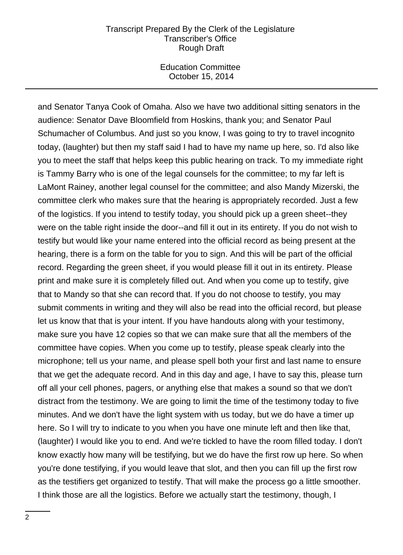Education Committee October 15, 2014

and Senator Tanya Cook of Omaha. Also we have two additional sitting senators in the audience: Senator Dave Bloomfield from Hoskins, thank you; and Senator Paul Schumacher of Columbus. And just so you know, I was going to try to travel incognito today, (laughter) but then my staff said I had to have my name up here, so. I'd also like you to meet the staff that helps keep this public hearing on track. To my immediate right is Tammy Barry who is one of the legal counsels for the committee; to my far left is LaMont Rainey, another legal counsel for the committee; and also Mandy Mizerski, the committee clerk who makes sure that the hearing is appropriately recorded. Just a few of the logistics. If you intend to testify today, you should pick up a green sheet--they were on the table right inside the door--and fill it out in its entirety. If you do not wish to testify but would like your name entered into the official record as being present at the hearing, there is a form on the table for you to sign. And this will be part of the official record. Regarding the green sheet, if you would please fill it out in its entirety. Please print and make sure it is completely filled out. And when you come up to testify, give that to Mandy so that she can record that. If you do not choose to testify, you may submit comments in writing and they will also be read into the official record, but please let us know that that is your intent. If you have handouts along with your testimony, make sure you have 12 copies so that we can make sure that all the members of the committee have copies. When you come up to testify, please speak clearly into the microphone; tell us your name, and please spell both your first and last name to ensure that we get the adequate record. And in this day and age, I have to say this, please turn off all your cell phones, pagers, or anything else that makes a sound so that we don't distract from the testimony. We are going to limit the time of the testimony today to five minutes. And we don't have the light system with us today, but we do have a timer up here. So I will try to indicate to you when you have one minute left and then like that, (laughter) I would like you to end. And we're tickled to have the room filled today. I don't know exactly how many will be testifying, but we do have the first row up here. So when you're done testifying, if you would leave that slot, and then you can fill up the first row as the testifiers get organized to testify. That will make the process go a little smoother. I think those are all the logistics. Before we actually start the testimony, though, I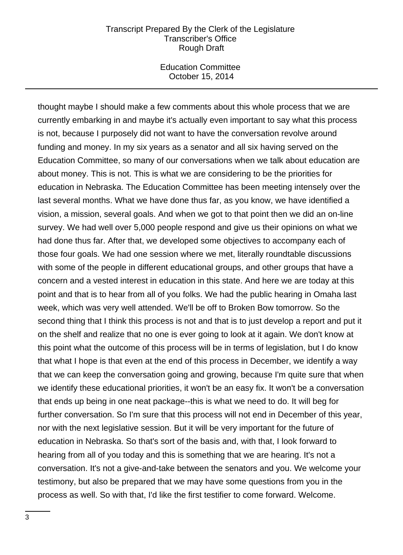Education Committee October 15, 2014

thought maybe I should make a few comments about this whole process that we are currently embarking in and maybe it's actually even important to say what this process is not, because I purposely did not want to have the conversation revolve around funding and money. In my six years as a senator and all six having served on the Education Committee, so many of our conversations when we talk about education are about money. This is not. This is what we are considering to be the priorities for education in Nebraska. The Education Committee has been meeting intensely over the last several months. What we have done thus far, as you know, we have identified a vision, a mission, several goals. And when we got to that point then we did an on-line survey. We had well over 5,000 people respond and give us their opinions on what we had done thus far. After that, we developed some objectives to accompany each of those four goals. We had one session where we met, literally roundtable discussions with some of the people in different educational groups, and other groups that have a concern and a vested interest in education in this state. And here we are today at this point and that is to hear from all of you folks. We had the public hearing in Omaha last week, which was very well attended. We'll be off to Broken Bow tomorrow. So the second thing that I think this process is not and that is to just develop a report and put it on the shelf and realize that no one is ever going to look at it again. We don't know at this point what the outcome of this process will be in terms of legislation, but I do know that what I hope is that even at the end of this process in December, we identify a way that we can keep the conversation going and growing, because I'm quite sure that when we identify these educational priorities, it won't be an easy fix. It won't be a conversation that ends up being in one neat package--this is what we need to do. It will beg for further conversation. So I'm sure that this process will not end in December of this year, nor with the next legislative session. But it will be very important for the future of education in Nebraska. So that's sort of the basis and, with that, I look forward to hearing from all of you today and this is something that we are hearing. It's not a conversation. It's not a give-and-take between the senators and you. We welcome your testimony, but also be prepared that we may have some questions from you in the process as well. So with that, I'd like the first testifier to come forward. Welcome.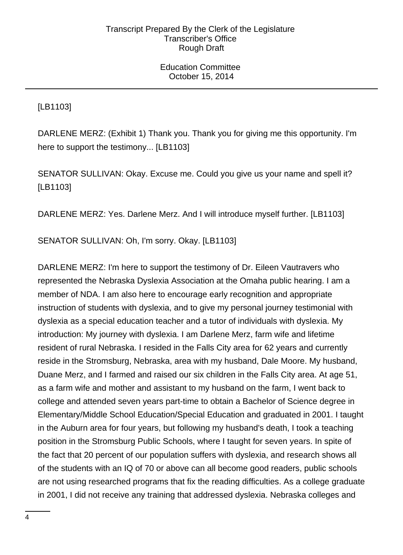[LB1103]

DARLENE MERZ: (Exhibit 1) Thank you. Thank you for giving me this opportunity. I'm here to support the testimony... [LB1103]

SENATOR SULLIVAN: Okay. Excuse me. Could you give us your name and spell it? [LB1103]

DARLENE MERZ: Yes. Darlene Merz. And I will introduce myself further. [LB1103]

SENATOR SULLIVAN: Oh, I'm sorry. Okay. [LB1103]

DARLENE MERZ: I'm here to support the testimony of Dr. Eileen Vautravers who represented the Nebraska Dyslexia Association at the Omaha public hearing. I am a member of NDA. I am also here to encourage early recognition and appropriate instruction of students with dyslexia, and to give my personal journey testimonial with dyslexia as a special education teacher and a tutor of individuals with dyslexia. My introduction: My journey with dyslexia. I am Darlene Merz, farm wife and lifetime resident of rural Nebraska. I resided in the Falls City area for 62 years and currently reside in the Stromsburg, Nebraska, area with my husband, Dale Moore. My husband, Duane Merz, and I farmed and raised our six children in the Falls City area. At age 51, as a farm wife and mother and assistant to my husband on the farm, I went back to college and attended seven years part-time to obtain a Bachelor of Science degree in Elementary/Middle School Education/Special Education and graduated in 2001. I taught in the Auburn area for four years, but following my husband's death, I took a teaching position in the Stromsburg Public Schools, where I taught for seven years. In spite of the fact that 20 percent of our population suffers with dyslexia, and research shows all of the students with an IQ of 70 or above can all become good readers, public schools are not using researched programs that fix the reading difficulties. As a college graduate in 2001, I did not receive any training that addressed dyslexia. Nebraska colleges and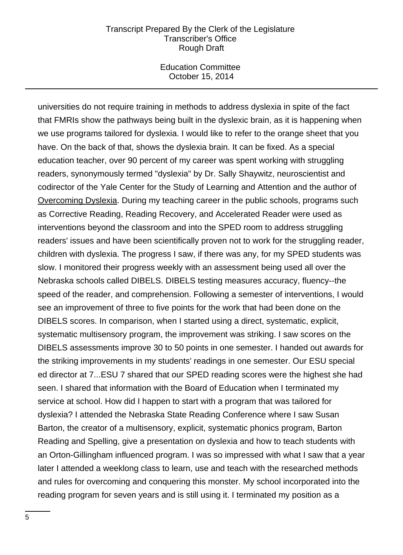Education Committee October 15, 2014

universities do not require training in methods to address dyslexia in spite of the fact that FMRIs show the pathways being built in the dyslexic brain, as it is happening when we use programs tailored for dyslexia. I would like to refer to the orange sheet that you have. On the back of that, shows the dyslexia brain. It can be fixed. As a special education teacher, over 90 percent of my career was spent working with struggling readers, synonymously termed "dyslexia" by Dr. Sally Shaywitz, neuroscientist and codirector of the Yale Center for the Study of Learning and Attention and the author of Overcoming Dyslexia. During my teaching career in the public schools, programs such as Corrective Reading, Reading Recovery, and Accelerated Reader were used as interventions beyond the classroom and into the SPED room to address struggling readers' issues and have been scientifically proven not to work for the struggling reader, children with dyslexia. The progress I saw, if there was any, for my SPED students was slow. I monitored their progress weekly with an assessment being used all over the Nebraska schools called DIBELS. DIBELS testing measures accuracy, fluency--the speed of the reader, and comprehension. Following a semester of interventions, I would see an improvement of three to five points for the work that had been done on the DIBELS scores. In comparison, when I started using a direct, systematic, explicit, systematic multisensory program, the improvement was striking. I saw scores on the DIBELS assessments improve 30 to 50 points in one semester. I handed out awards for the striking improvements in my students' readings in one semester. Our ESU special ed director at 7...ESU 7 shared that our SPED reading scores were the highest she had seen. I shared that information with the Board of Education when I terminated my service at school. How did I happen to start with a program that was tailored for dyslexia? I attended the Nebraska State Reading Conference where I saw Susan Barton, the creator of a multisensory, explicit, systematic phonics program, Barton Reading and Spelling, give a presentation on dyslexia and how to teach students with an Orton-Gillingham influenced program. I was so impressed with what I saw that a year later I attended a weeklong class to learn, use and teach with the researched methods and rules for overcoming and conquering this monster. My school incorporated into the reading program for seven years and is still using it. I terminated my position as a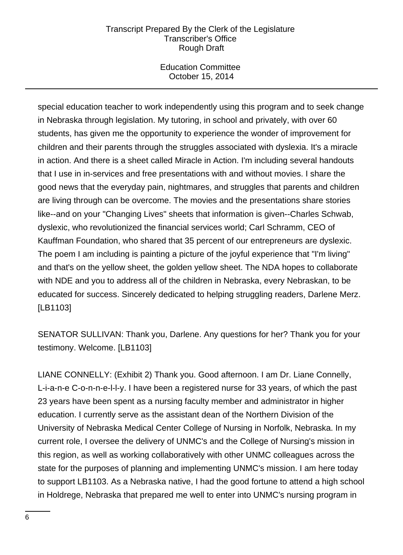Education Committee October 15, 2014

special education teacher to work independently using this program and to seek change in Nebraska through legislation. My tutoring, in school and privately, with over 60 students, has given me the opportunity to experience the wonder of improvement for children and their parents through the struggles associated with dyslexia. It's a miracle in action. And there is a sheet called Miracle in Action. I'm including several handouts that I use in in-services and free presentations with and without movies. I share the good news that the everyday pain, nightmares, and struggles that parents and children are living through can be overcome. The movies and the presentations share stories like--and on your "Changing Lives" sheets that information is given--Charles Schwab, dyslexic, who revolutionized the financial services world; Carl Schramm, CEO of Kauffman Foundation, who shared that 35 percent of our entrepreneurs are dyslexic. The poem I am including is painting a picture of the joyful experience that "I'm living" and that's on the yellow sheet, the golden yellow sheet. The NDA hopes to collaborate with NDE and you to address all of the children in Nebraska, every Nebraskan, to be educated for success. Sincerely dedicated to helping struggling readers, Darlene Merz. [LB1103]

SENATOR SULLIVAN: Thank you, Darlene. Any questions for her? Thank you for your testimony. Welcome. [LB1103]

LIANE CONNELLY: (Exhibit 2) Thank you. Good afternoon. I am Dr. Liane Connelly, L-i-a-n-e C-o-n-n-e-l-l-y. I have been a registered nurse for 33 years, of which the past 23 years have been spent as a nursing faculty member and administrator in higher education. I currently serve as the assistant dean of the Northern Division of the University of Nebraska Medical Center College of Nursing in Norfolk, Nebraska. In my current role, I oversee the delivery of UNMC's and the College of Nursing's mission in this region, as well as working collaboratively with other UNMC colleagues across the state for the purposes of planning and implementing UNMC's mission. I am here today to support LB1103. As a Nebraska native, I had the good fortune to attend a high school in Holdrege, Nebraska that prepared me well to enter into UNMC's nursing program in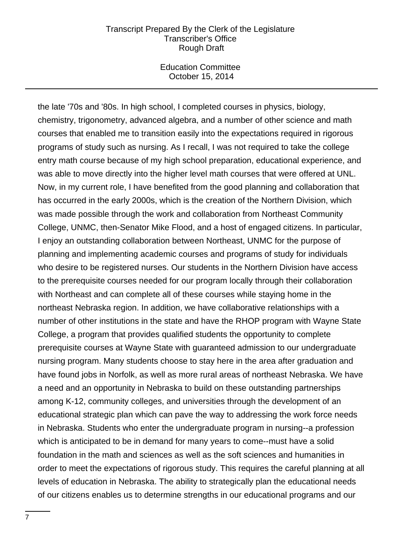Education Committee October 15, 2014

the late '70s and '80s. In high school, I completed courses in physics, biology, chemistry, trigonometry, advanced algebra, and a number of other science and math courses that enabled me to transition easily into the expectations required in rigorous programs of study such as nursing. As I recall, I was not required to take the college entry math course because of my high school preparation, educational experience, and was able to move directly into the higher level math courses that were offered at UNL. Now, in my current role, I have benefited from the good planning and collaboration that has occurred in the early 2000s, which is the creation of the Northern Division, which was made possible through the work and collaboration from Northeast Community College, UNMC, then-Senator Mike Flood, and a host of engaged citizens. In particular, I enjoy an outstanding collaboration between Northeast, UNMC for the purpose of planning and implementing academic courses and programs of study for individuals who desire to be registered nurses. Our students in the Northern Division have access to the prerequisite courses needed for our program locally through their collaboration with Northeast and can complete all of these courses while staying home in the northeast Nebraska region. In addition, we have collaborative relationships with a number of other institutions in the state and have the RHOP program with Wayne State College, a program that provides qualified students the opportunity to complete prerequisite courses at Wayne State with guaranteed admission to our undergraduate nursing program. Many students choose to stay here in the area after graduation and have found jobs in Norfolk, as well as more rural areas of northeast Nebraska. We have a need and an opportunity in Nebraska to build on these outstanding partnerships among K-12, community colleges, and universities through the development of an educational strategic plan which can pave the way to addressing the work force needs in Nebraska. Students who enter the undergraduate program in nursing--a profession which is anticipated to be in demand for many years to come--must have a solid foundation in the math and sciences as well as the soft sciences and humanities in order to meet the expectations of rigorous study. This requires the careful planning at all levels of education in Nebraska. The ability to strategically plan the educational needs of our citizens enables us to determine strengths in our educational programs and our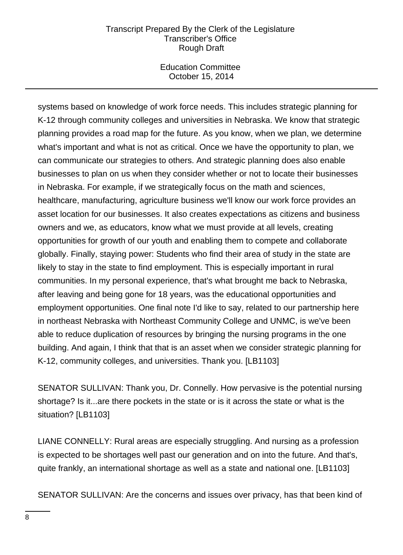Education Committee October 15, 2014

systems based on knowledge of work force needs. This includes strategic planning for K-12 through community colleges and universities in Nebraska. We know that strategic planning provides a road map for the future. As you know, when we plan, we determine what's important and what is not as critical. Once we have the opportunity to plan, we can communicate our strategies to others. And strategic planning does also enable businesses to plan on us when they consider whether or not to locate their businesses in Nebraska. For example, if we strategically focus on the math and sciences, healthcare, manufacturing, agriculture business we'll know our work force provides an asset location for our businesses. It also creates expectations as citizens and business owners and we, as educators, know what we must provide at all levels, creating opportunities for growth of our youth and enabling them to compete and collaborate globally. Finally, staying power: Students who find their area of study in the state are likely to stay in the state to find employment. This is especially important in rural communities. In my personal experience, that's what brought me back to Nebraska, after leaving and being gone for 18 years, was the educational opportunities and employment opportunities. One final note I'd like to say, related to our partnership here in northeast Nebraska with Northeast Community College and UNMC, is we've been able to reduce duplication of resources by bringing the nursing programs in the one building. And again, I think that that is an asset when we consider strategic planning for K-12, community colleges, and universities. Thank you. [LB1103]

SENATOR SULLIVAN: Thank you, Dr. Connelly. How pervasive is the potential nursing shortage? Is it...are there pockets in the state or is it across the state or what is the situation? [LB1103]

LIANE CONNELLY: Rural areas are especially struggling. And nursing as a profession is expected to be shortages well past our generation and on into the future. And that's, quite frankly, an international shortage as well as a state and national one. [LB1103]

SENATOR SULLIVAN: Are the concerns and issues over privacy, has that been kind of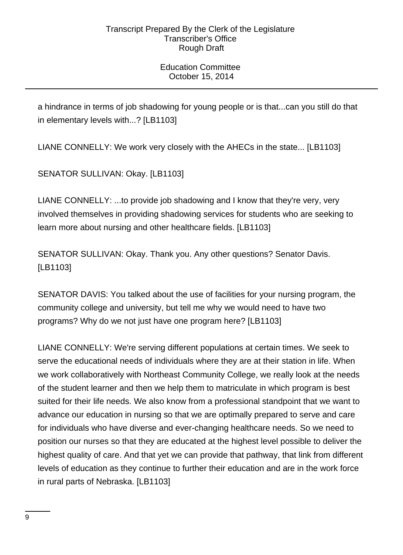Education Committee October 15, 2014

a hindrance in terms of job shadowing for young people or is that...can you still do that in elementary levels with...? [LB1103]

LIANE CONNELLY: We work very closely with the AHECs in the state... [LB1103]

SENATOR SULLIVAN: Okay. [LB1103]

LIANE CONNELLY: ...to provide job shadowing and I know that they're very, very involved themselves in providing shadowing services for students who are seeking to learn more about nursing and other healthcare fields. [LB1103]

SENATOR SULLIVAN: Okay. Thank you. Any other questions? Senator Davis. [LB1103]

SENATOR DAVIS: You talked about the use of facilities for your nursing program, the community college and university, but tell me why we would need to have two programs? Why do we not just have one program here? [LB1103]

LIANE CONNELLY: We're serving different populations at certain times. We seek to serve the educational needs of individuals where they are at their station in life. When we work collaboratively with Northeast Community College, we really look at the needs of the student learner and then we help them to matriculate in which program is best suited for their life needs. We also know from a professional standpoint that we want to advance our education in nursing so that we are optimally prepared to serve and care for individuals who have diverse and ever-changing healthcare needs. So we need to position our nurses so that they are educated at the highest level possible to deliver the highest quality of care. And that yet we can provide that pathway, that link from different levels of education as they continue to further their education and are in the work force in rural parts of Nebraska. [LB1103]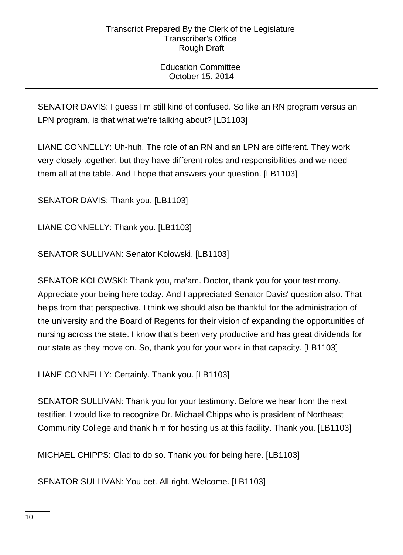Education Committee October 15, 2014

SENATOR DAVIS: I guess I'm still kind of confused. So like an RN program versus an LPN program, is that what we're talking about? [LB1103]

LIANE CONNELLY: Uh-huh. The role of an RN and an LPN are different. They work very closely together, but they have different roles and responsibilities and we need them all at the table. And I hope that answers your question. [LB1103]

SENATOR DAVIS: Thank you. [LB1103]

LIANE CONNELLY: Thank you. [LB1103]

SENATOR SULLIVAN: Senator Kolowski. [LB1103]

SENATOR KOLOWSKI: Thank you, ma'am. Doctor, thank you for your testimony. Appreciate your being here today. And I appreciated Senator Davis' question also. That helps from that perspective. I think we should also be thankful for the administration of the university and the Board of Regents for their vision of expanding the opportunities of nursing across the state. I know that's been very productive and has great dividends for our state as they move on. So, thank you for your work in that capacity. [LB1103]

LIANE CONNELLY: Certainly. Thank you. [LB1103]

SENATOR SULLIVAN: Thank you for your testimony. Before we hear from the next testifier, I would like to recognize Dr. Michael Chipps who is president of Northeast Community College and thank him for hosting us at this facility. Thank you. [LB1103]

MICHAEL CHIPPS: Glad to do so. Thank you for being here. [LB1103]

SENATOR SULLIVAN: You bet. All right. Welcome. [LB1103]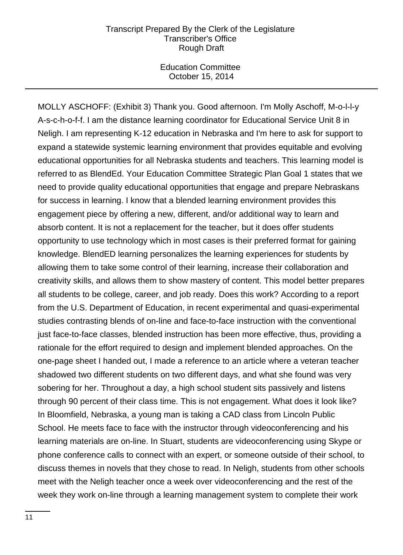Education Committee October 15, 2014

MOLLY ASCHOFF: (Exhibit 3) Thank you. Good afternoon. I'm Molly Aschoff, M-o-l-l-y A-s-c-h-o-f-f. I am the distance learning coordinator for Educational Service Unit 8 in Neligh. I am representing K-12 education in Nebraska and I'm here to ask for support to expand a statewide systemic learning environment that provides equitable and evolving educational opportunities for all Nebraska students and teachers. This learning model is referred to as BlendEd. Your Education Committee Strategic Plan Goal 1 states that we need to provide quality educational opportunities that engage and prepare Nebraskans for success in learning. I know that a blended learning environment provides this engagement piece by offering a new, different, and/or additional way to learn and absorb content. It is not a replacement for the teacher, but it does offer students opportunity to use technology which in most cases is their preferred format for gaining knowledge. BlendED learning personalizes the learning experiences for students by allowing them to take some control of their learning, increase their collaboration and creativity skills, and allows them to show mastery of content. This model better prepares all students to be college, career, and job ready. Does this work? According to a report from the U.S. Department of Education, in recent experimental and quasi-experimental studies contrasting blends of on-line and face-to-face instruction with the conventional just face-to-face classes, blended instruction has been more effective, thus, providing a rationale for the effort required to design and implement blended approaches. On the one-page sheet I handed out, I made a reference to an article where a veteran teacher shadowed two different students on two different days, and what she found was very sobering for her. Throughout a day, a high school student sits passively and listens through 90 percent of their class time. This is not engagement. What does it look like? In Bloomfield, Nebraska, a young man is taking a CAD class from Lincoln Public School. He meets face to face with the instructor through videoconferencing and his learning materials are on-line. In Stuart, students are videoconferencing using Skype or phone conference calls to connect with an expert, or someone outside of their school, to discuss themes in novels that they chose to read. In Neligh, students from other schools meet with the Neligh teacher once a week over videoconferencing and the rest of the week they work on-line through a learning management system to complete their work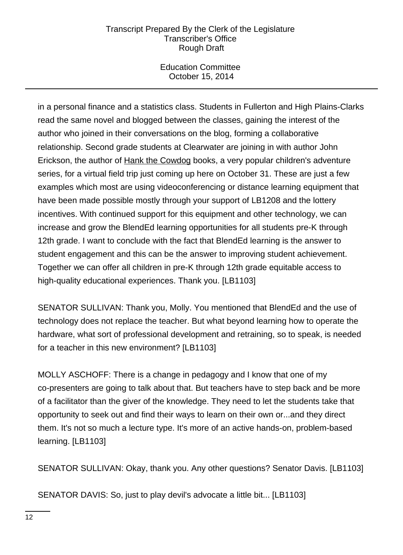Education Committee October 15, 2014

in a personal finance and a statistics class. Students in Fullerton and High Plains-Clarks read the same novel and blogged between the classes, gaining the interest of the author who joined in their conversations on the blog, forming a collaborative relationship. Second grade students at Clearwater are joining in with author John Erickson, the author of Hank the Cowdog books, a very popular children's adventure series, for a virtual field trip just coming up here on October 31. These are just a few examples which most are using videoconferencing or distance learning equipment that have been made possible mostly through your support of LB1208 and the lottery incentives. With continued support for this equipment and other technology, we can increase and grow the BlendEd learning opportunities for all students pre-K through 12th grade. I want to conclude with the fact that BlendEd learning is the answer to student engagement and this can be the answer to improving student achievement. Together we can offer all children in pre-K through 12th grade equitable access to high-quality educational experiences. Thank you. [LB1103]

SENATOR SULLIVAN: Thank you, Molly. You mentioned that BlendEd and the use of technology does not replace the teacher. But what beyond learning how to operate the hardware, what sort of professional development and retraining, so to speak, is needed for a teacher in this new environment? [LB1103]

MOLLY ASCHOFF: There is a change in pedagogy and I know that one of my co-presenters are going to talk about that. But teachers have to step back and be more of a facilitator than the giver of the knowledge. They need to let the students take that opportunity to seek out and find their ways to learn on their own or...and they direct them. It's not so much a lecture type. It's more of an active hands-on, problem-based learning. [LB1103]

SENATOR SULLIVAN: Okay, thank you. Any other questions? Senator Davis. [LB1103]

SENATOR DAVIS: So, just to play devil's advocate a little bit... [LB1103]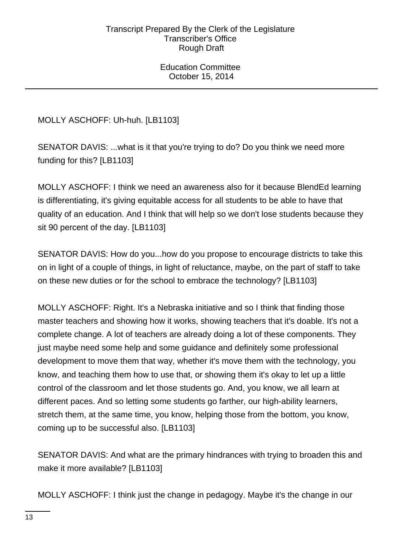Education Committee October 15, 2014

MOLLY ASCHOFF: Uh-huh. [LB1103]

SENATOR DAVIS: ...what is it that you're trying to do? Do you think we need more funding for this? [LB1103]

MOLLY ASCHOFF: I think we need an awareness also for it because BlendEd learning is differentiating, it's giving equitable access for all students to be able to have that quality of an education. And I think that will help so we don't lose students because they sit 90 percent of the day. [LB1103]

SENATOR DAVIS: How do you...how do you propose to encourage districts to take this on in light of a couple of things, in light of reluctance, maybe, on the part of staff to take on these new duties or for the school to embrace the technology? [LB1103]

MOLLY ASCHOFF: Right. It's a Nebraska initiative and so I think that finding those master teachers and showing how it works, showing teachers that it's doable. It's not a complete change. A lot of teachers are already doing a lot of these components. They just maybe need some help and some guidance and definitely some professional development to move them that way, whether it's move them with the technology, you know, and teaching them how to use that, or showing them it's okay to let up a little control of the classroom and let those students go. And, you know, we all learn at different paces. And so letting some students go farther, our high-ability learners, stretch them, at the same time, you know, helping those from the bottom, you know, coming up to be successful also. [LB1103]

SENATOR DAVIS: And what are the primary hindrances with trying to broaden this and make it more available? [LB1103]

MOLLY ASCHOFF: I think just the change in pedagogy. Maybe it's the change in our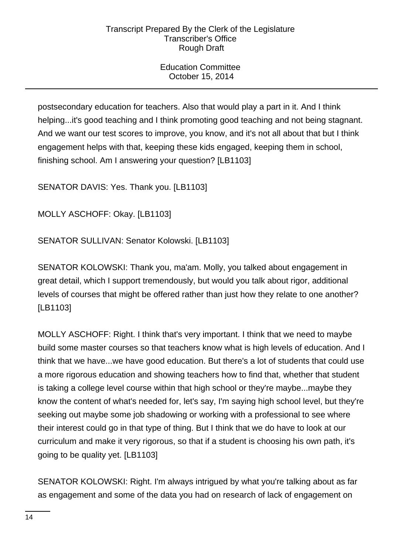Education Committee October 15, 2014

postsecondary education for teachers. Also that would play a part in it. And I think helping...it's good teaching and I think promoting good teaching and not being stagnant. And we want our test scores to improve, you know, and it's not all about that but I think engagement helps with that, keeping these kids engaged, keeping them in school, finishing school. Am I answering your question? [LB1103]

SENATOR DAVIS: Yes. Thank you. [LB1103]

MOLLY ASCHOFF: Okay. [LB1103]

SENATOR SULLIVAN: Senator Kolowski. [LB1103]

SENATOR KOLOWSKI: Thank you, ma'am. Molly, you talked about engagement in great detail, which I support tremendously, but would you talk about rigor, additional levels of courses that might be offered rather than just how they relate to one another? [LB1103]

MOLLY ASCHOFF: Right. I think that's very important. I think that we need to maybe build some master courses so that teachers know what is high levels of education. And I think that we have...we have good education. But there's a lot of students that could use a more rigorous education and showing teachers how to find that, whether that student is taking a college level course within that high school or they're maybe...maybe they know the content of what's needed for, let's say, I'm saying high school level, but they're seeking out maybe some job shadowing or working with a professional to see where their interest could go in that type of thing. But I think that we do have to look at our curriculum and make it very rigorous, so that if a student is choosing his own path, it's going to be quality yet. [LB1103]

SENATOR KOLOWSKI: Right. I'm always intrigued by what you're talking about as far as engagement and some of the data you had on research of lack of engagement on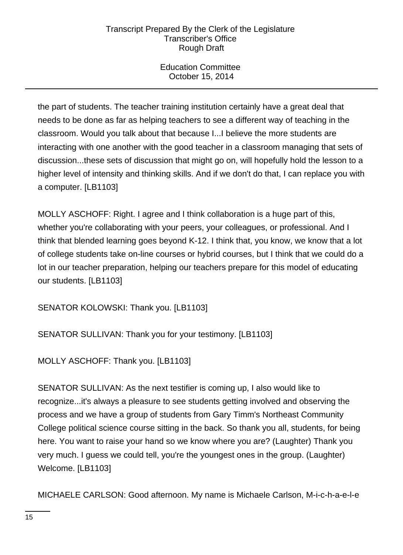Education Committee October 15, 2014

the part of students. The teacher training institution certainly have a great deal that needs to be done as far as helping teachers to see a different way of teaching in the classroom. Would you talk about that because I...I believe the more students are interacting with one another with the good teacher in a classroom managing that sets of discussion...these sets of discussion that might go on, will hopefully hold the lesson to a higher level of intensity and thinking skills. And if we don't do that, I can replace you with a computer. [LB1103]

MOLLY ASCHOFF: Right. I agree and I think collaboration is a huge part of this, whether you're collaborating with your peers, your colleagues, or professional. And I think that blended learning goes beyond K-12. I think that, you know, we know that a lot of college students take on-line courses or hybrid courses, but I think that we could do a lot in our teacher preparation, helping our teachers prepare for this model of educating our students. [LB1103]

SENATOR KOLOWSKI: Thank you. [LB1103]

SENATOR SULLIVAN: Thank you for your testimony. [LB1103]

MOLLY ASCHOFF: Thank you. [LB1103]

SENATOR SULLIVAN: As the next testifier is coming up, I also would like to recognize...it's always a pleasure to see students getting involved and observing the process and we have a group of students from Gary Timm's Northeast Community College political science course sitting in the back. So thank you all, students, for being here. You want to raise your hand so we know where you are? (Laughter) Thank you very much. I guess we could tell, you're the youngest ones in the group. (Laughter) Welcome. [LB1103]

MICHAELE CARLSON: Good afternoon. My name is Michaele Carlson, M-i-c-h-a-e-l-e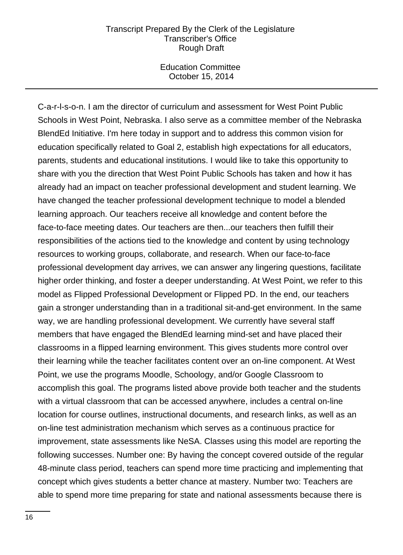Education Committee October 15, 2014

C-a-r-l-s-o-n. I am the director of curriculum and assessment for West Point Public Schools in West Point, Nebraska. I also serve as a committee member of the Nebraska BlendEd Initiative. I'm here today in support and to address this common vision for education specifically related to Goal 2, establish high expectations for all educators, parents, students and educational institutions. I would like to take this opportunity to share with you the direction that West Point Public Schools has taken and how it has already had an impact on teacher professional development and student learning. We have changed the teacher professional development technique to model a blended learning approach. Our teachers receive all knowledge and content before the face-to-face meeting dates. Our teachers are then...our teachers then fulfill their responsibilities of the actions tied to the knowledge and content by using technology resources to working groups, collaborate, and research. When our face-to-face professional development day arrives, we can answer any lingering questions, facilitate higher order thinking, and foster a deeper understanding. At West Point, we refer to this model as Flipped Professional Development or Flipped PD. In the end, our teachers gain a stronger understanding than in a traditional sit-and-get environment. In the same way, we are handling professional development. We currently have several staff members that have engaged the BlendEd learning mind-set and have placed their classrooms in a flipped learning environment. This gives students more control over their learning while the teacher facilitates content over an on-line component. At West Point, we use the programs Moodle, Schoology, and/or Google Classroom to accomplish this goal. The programs listed above provide both teacher and the students with a virtual classroom that can be accessed anywhere, includes a central on-line location for course outlines, instructional documents, and research links, as well as an on-line test administration mechanism which serves as a continuous practice for improvement, state assessments like NeSA. Classes using this model are reporting the following successes. Number one: By having the concept covered outside of the regular 48-minute class period, teachers can spend more time practicing and implementing that concept which gives students a better chance at mastery. Number two: Teachers are able to spend more time preparing for state and national assessments because there is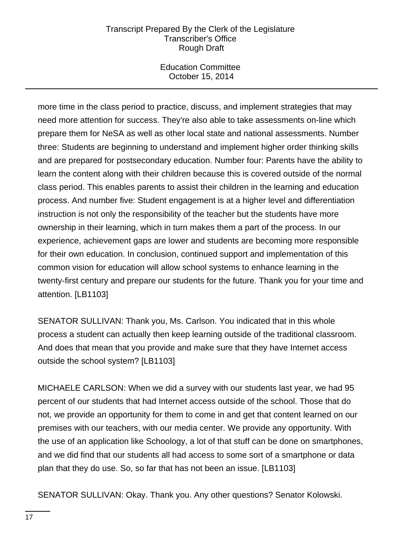Education Committee October 15, 2014

more time in the class period to practice, discuss, and implement strategies that may need more attention for success. They're also able to take assessments on-line which prepare them for NeSA as well as other local state and national assessments. Number three: Students are beginning to understand and implement higher order thinking skills and are prepared for postsecondary education. Number four: Parents have the ability to learn the content along with their children because this is covered outside of the normal class period. This enables parents to assist their children in the learning and education process. And number five: Student engagement is at a higher level and differentiation instruction is not only the responsibility of the teacher but the students have more ownership in their learning, which in turn makes them a part of the process. In our experience, achievement gaps are lower and students are becoming more responsible for their own education. In conclusion, continued support and implementation of this common vision for education will allow school systems to enhance learning in the twenty-first century and prepare our students for the future. Thank you for your time and attention. [LB1103]

SENATOR SULLIVAN: Thank you, Ms. Carlson. You indicated that in this whole process a student can actually then keep learning outside of the traditional classroom. And does that mean that you provide and make sure that they have Internet access outside the school system? [LB1103]

MICHAELE CARLSON: When we did a survey with our students last year, we had 95 percent of our students that had Internet access outside of the school. Those that do not, we provide an opportunity for them to come in and get that content learned on our premises with our teachers, with our media center. We provide any opportunity. With the use of an application like Schoology, a lot of that stuff can be done on smartphones, and we did find that our students all had access to some sort of a smartphone or data plan that they do use. So, so far that has not been an issue. [LB1103]

SENATOR SULLIVAN: Okay. Thank you. Any other questions? Senator Kolowski.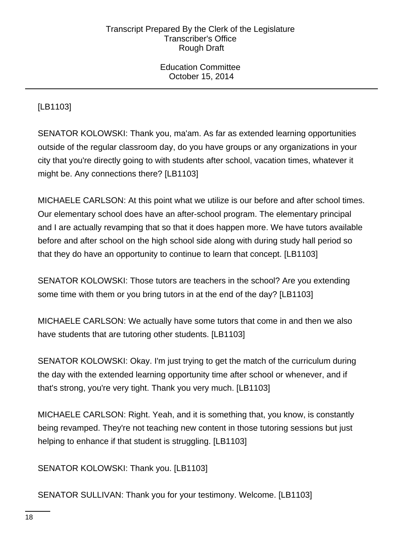Education Committee October 15, 2014

# [LB1103]

SENATOR KOLOWSKI: Thank you, ma'am. As far as extended learning opportunities outside of the regular classroom day, do you have groups or any organizations in your city that you're directly going to with students after school, vacation times, whatever it might be. Any connections there? [LB1103]

MICHAELE CARLSON: At this point what we utilize is our before and after school times. Our elementary school does have an after-school program. The elementary principal and I are actually revamping that so that it does happen more. We have tutors available before and after school on the high school side along with during study hall period so that they do have an opportunity to continue to learn that concept. [LB1103]

SENATOR KOLOWSKI: Those tutors are teachers in the school? Are you extending some time with them or you bring tutors in at the end of the day? [LB1103]

MICHAELE CARLSON: We actually have some tutors that come in and then we also have students that are tutoring other students. [LB1103]

SENATOR KOLOWSKI: Okay. I'm just trying to get the match of the curriculum during the day with the extended learning opportunity time after school or whenever, and if that's strong, you're very tight. Thank you very much. [LB1103]

MICHAELE CARLSON: Right. Yeah, and it is something that, you know, is constantly being revamped. They're not teaching new content in those tutoring sessions but just helping to enhance if that student is struggling. [LB1103]

SENATOR KOLOWSKI: Thank you. [LB1103]

SENATOR SULLIVAN: Thank you for your testimony. Welcome. [LB1103]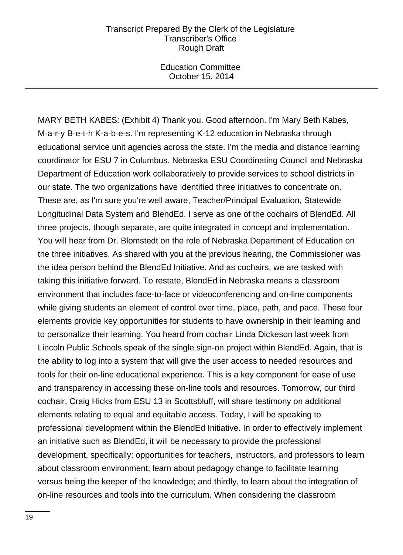Education Committee October 15, 2014

MARY BETH KABES: (Exhibit 4) Thank you. Good afternoon. I'm Mary Beth Kabes, M-a-r-y B-e-t-h K-a-b-e-s. I'm representing K-12 education in Nebraska through educational service unit agencies across the state. I'm the media and distance learning coordinator for ESU 7 in Columbus. Nebraska ESU Coordinating Council and Nebraska Department of Education work collaboratively to provide services to school districts in our state. The two organizations have identified three initiatives to concentrate on. These are, as I'm sure you're well aware, Teacher/Principal Evaluation, Statewide Longitudinal Data System and BlendEd. I serve as one of the cochairs of BlendEd. All three projects, though separate, are quite integrated in concept and implementation. You will hear from Dr. Blomstedt on the role of Nebraska Department of Education on the three initiatives. As shared with you at the previous hearing, the Commissioner was the idea person behind the BlendEd Initiative. And as cochairs, we are tasked with taking this initiative forward. To restate, BlendEd in Nebraska means a classroom environment that includes face-to-face or videoconferencing and on-line components while giving students an element of control over time, place, path, and pace. These four elements provide key opportunities for students to have ownership in their learning and to personalize their learning. You heard from cochair Linda Dickeson last week from Lincoln Public Schools speak of the single sign-on project within BlendEd. Again, that is the ability to log into a system that will give the user access to needed resources and tools for their on-line educational experience. This is a key component for ease of use and transparency in accessing these on-line tools and resources. Tomorrow, our third cochair, Craig Hicks from ESU 13 in Scottsbluff, will share testimony on additional elements relating to equal and equitable access. Today, I will be speaking to professional development within the BlendEd Initiative. In order to effectively implement an initiative such as BlendEd, it will be necessary to provide the professional development, specifically: opportunities for teachers, instructors, and professors to learn about classroom environment; learn about pedagogy change to facilitate learning versus being the keeper of the knowledge; and thirdly, to learn about the integration of on-line resources and tools into the curriculum. When considering the classroom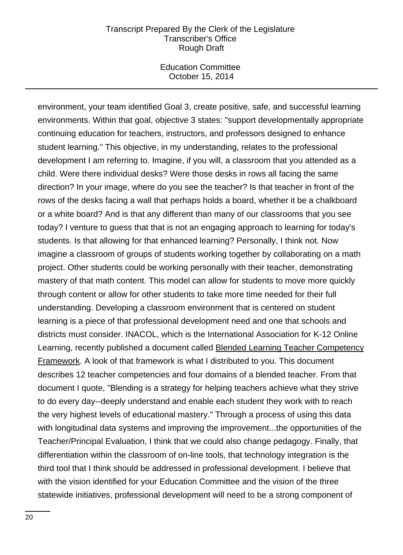Education Committee October 15, 2014

environment, your team identified Goal 3, create positive, safe, and successful learning environments. Within that goal, objective 3 states: "support developmentally appropriate continuing education for teachers, instructors, and professors designed to enhance student learning." This objective, in my understanding, relates to the professional development I am referring to. Imagine, if you will, a classroom that you attended as a child. Were there individual desks? Were those desks in rows all facing the same direction? In your image, where do you see the teacher? Is that teacher in front of the rows of the desks facing a wall that perhaps holds a board, whether it be a chalkboard or a white board? And is that any different than many of our classrooms that you see today? I venture to guess that that is not an engaging approach to learning for today's students. Is that allowing for that enhanced learning? Personally, I think not. Now imagine a classroom of groups of students working together by collaborating on a math project. Other students could be working personally with their teacher, demonstrating mastery of that math content. This model can allow for students to move more quickly through content or allow for other students to take more time needed for their full understanding. Developing a classroom environment that is centered on student learning is a piece of that professional development need and one that schools and districts must consider. INACOL, which is the International Association for K-12 Online Learning, recently published a document called Blended Learning Teacher Competency Framework. A look of that framework is what I distributed to you. This document describes 12 teacher competencies and four domains of a blended teacher. From that document I quote, "Blending is a strategy for helping teachers achieve what they strive to do every day--deeply understand and enable each student they work with to reach the very highest levels of educational mastery." Through a process of using this data with longitudinal data systems and improving the improvement...the opportunities of the Teacher/Principal Evaluation, I think that we could also change pedagogy. Finally, that differentiation within the classroom of on-line tools, that technology integration is the third tool that I think should be addressed in professional development. I believe that with the vision identified for your Education Committee and the vision of the three statewide initiatives, professional development will need to be a strong component of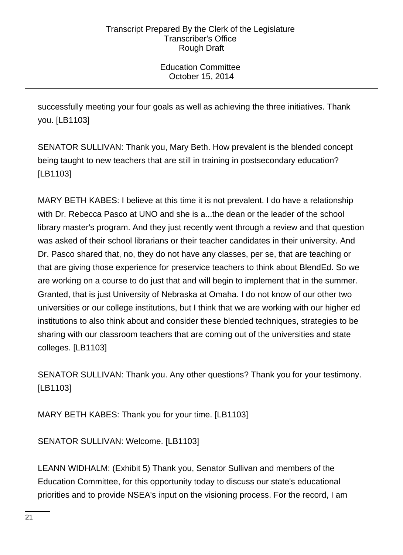Education Committee October 15, 2014

successfully meeting your four goals as well as achieving the three initiatives. Thank you. [LB1103]

SENATOR SULLIVAN: Thank you, Mary Beth. How prevalent is the blended concept being taught to new teachers that are still in training in postsecondary education? [LB1103]

MARY BETH KABES: I believe at this time it is not prevalent. I do have a relationship with Dr. Rebecca Pasco at UNO and she is a...the dean or the leader of the school library master's program. And they just recently went through a review and that question was asked of their school librarians or their teacher candidates in their university. And Dr. Pasco shared that, no, they do not have any classes, per se, that are teaching or that are giving those experience for preservice teachers to think about BlendEd. So we are working on a course to do just that and will begin to implement that in the summer. Granted, that is just University of Nebraska at Omaha. I do not know of our other two universities or our college institutions, but I think that we are working with our higher ed institutions to also think about and consider these blended techniques, strategies to be sharing with our classroom teachers that are coming out of the universities and state colleges. [LB1103]

SENATOR SULLIVAN: Thank you. Any other questions? Thank you for your testimony. [LB1103]

MARY BETH KABES: Thank you for your time. [LB1103]

SENATOR SULLIVAN: Welcome. [LB1103]

LEANN WIDHALM: (Exhibit 5) Thank you, Senator Sullivan and members of the Education Committee, for this opportunity today to discuss our state's educational priorities and to provide NSEA's input on the visioning process. For the record, I am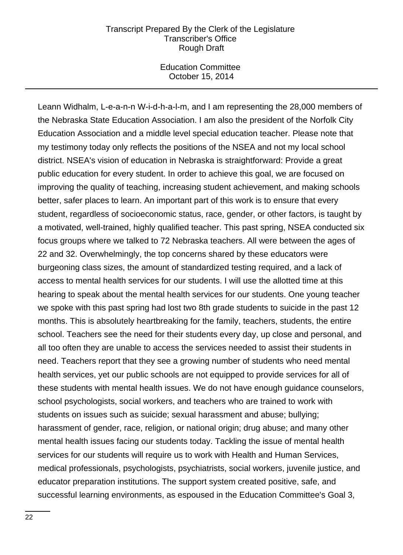Education Committee October 15, 2014

Leann Widhalm, L-e-a-n-n W-i-d-h-a-l-m, and I am representing the 28,000 members of the Nebraska State Education Association. I am also the president of the Norfolk City Education Association and a middle level special education teacher. Please note that my testimony today only reflects the positions of the NSEA and not my local school district. NSEA's vision of education in Nebraska is straightforward: Provide a great public education for every student. In order to achieve this goal, we are focused on improving the quality of teaching, increasing student achievement, and making schools better, safer places to learn. An important part of this work is to ensure that every student, regardless of socioeconomic status, race, gender, or other factors, is taught by a motivated, well-trained, highly qualified teacher. This past spring, NSEA conducted six focus groups where we talked to 72 Nebraska teachers. All were between the ages of 22 and 32. Overwhelmingly, the top concerns shared by these educators were burgeoning class sizes, the amount of standardized testing required, and a lack of access to mental health services for our students. I will use the allotted time at this hearing to speak about the mental health services for our students. One young teacher we spoke with this past spring had lost two 8th grade students to suicide in the past 12 months. This is absolutely heartbreaking for the family, teachers, students, the entire school. Teachers see the need for their students every day, up close and personal, and all too often they are unable to access the services needed to assist their students in need. Teachers report that they see a growing number of students who need mental health services, yet our public schools are not equipped to provide services for all of these students with mental health issues. We do not have enough guidance counselors, school psychologists, social workers, and teachers who are trained to work with students on issues such as suicide; sexual harassment and abuse; bullying; harassment of gender, race, religion, or national origin; drug abuse; and many other mental health issues facing our students today. Tackling the issue of mental health services for our students will require us to work with Health and Human Services, medical professionals, psychologists, psychiatrists, social workers, juvenile justice, and educator preparation institutions. The support system created positive, safe, and successful learning environments, as espoused in the Education Committee's Goal 3,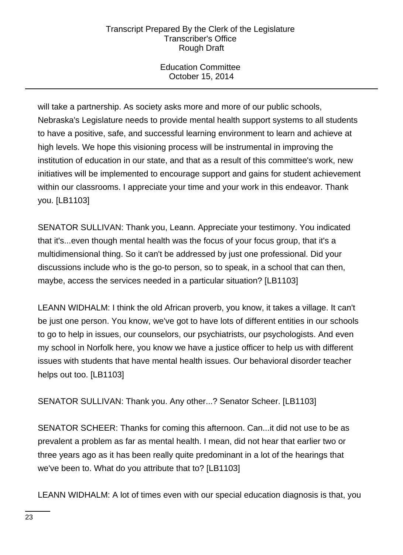Education Committee October 15, 2014

will take a partnership. As society asks more and more of our public schools, Nebraska's Legislature needs to provide mental health support systems to all students to have a positive, safe, and successful learning environment to learn and achieve at high levels. We hope this visioning process will be instrumental in improving the institution of education in our state, and that as a result of this committee's work, new initiatives will be implemented to encourage support and gains for student achievement within our classrooms. I appreciate your time and your work in this endeavor. Thank you. [LB1103]

SENATOR SULLIVAN: Thank you, Leann. Appreciate your testimony. You indicated that it's...even though mental health was the focus of your focus group, that it's a multidimensional thing. So it can't be addressed by just one professional. Did your discussions include who is the go-to person, so to speak, in a school that can then, maybe, access the services needed in a particular situation? [LB1103]

LEANN WIDHALM: I think the old African proverb, you know, it takes a village. It can't be just one person. You know, we've got to have lots of different entities in our schools to go to help in issues, our counselors, our psychiatrists, our psychologists. And even my school in Norfolk here, you know we have a justice officer to help us with different issues with students that have mental health issues. Our behavioral disorder teacher helps out too. [LB1103]

SENATOR SULLIVAN: Thank you. Any other...? Senator Scheer. [LB1103]

SENATOR SCHEER: Thanks for coming this afternoon. Can...it did not use to be as prevalent a problem as far as mental health. I mean, did not hear that earlier two or three years ago as it has been really quite predominant in a lot of the hearings that we've been to. What do you attribute that to? [LB1103]

LEANN WIDHALM: A lot of times even with our special education diagnosis is that, you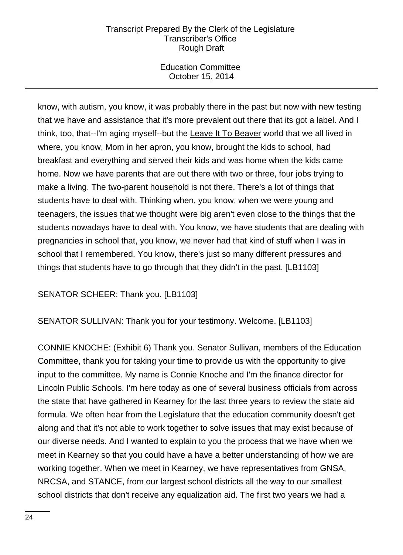Education Committee October 15, 2014

know, with autism, you know, it was probably there in the past but now with new testing that we have and assistance that it's more prevalent out there that its got a label. And I think, too, that--I'm aging myself--but the Leave It To Beaver world that we all lived in where, you know, Mom in her apron, you know, brought the kids to school, had breakfast and everything and served their kids and was home when the kids came home. Now we have parents that are out there with two or three, four jobs trying to make a living. The two-parent household is not there. There's a lot of things that students have to deal with. Thinking when, you know, when we were young and teenagers, the issues that we thought were big aren't even close to the things that the students nowadays have to deal with. You know, we have students that are dealing with pregnancies in school that, you know, we never had that kind of stuff when I was in school that I remembered. You know, there's just so many different pressures and things that students have to go through that they didn't in the past. [LB1103]

SENATOR SCHEER: Thank you. [LB1103]

SENATOR SULLIVAN: Thank you for your testimony. Welcome. [LB1103]

CONNIE KNOCHE: (Exhibit 6) Thank you. Senator Sullivan, members of the Education Committee, thank you for taking your time to provide us with the opportunity to give input to the committee. My name is Connie Knoche and I'm the finance director for Lincoln Public Schools. I'm here today as one of several business officials from across the state that have gathered in Kearney for the last three years to review the state aid formula. We often hear from the Legislature that the education community doesn't get along and that it's not able to work together to solve issues that may exist because of our diverse needs. And I wanted to explain to you the process that we have when we meet in Kearney so that you could have a have a better understanding of how we are working together. When we meet in Kearney, we have representatives from GNSA, NRCSA, and STANCE, from our largest school districts all the way to our smallest school districts that don't receive any equalization aid. The first two years we had a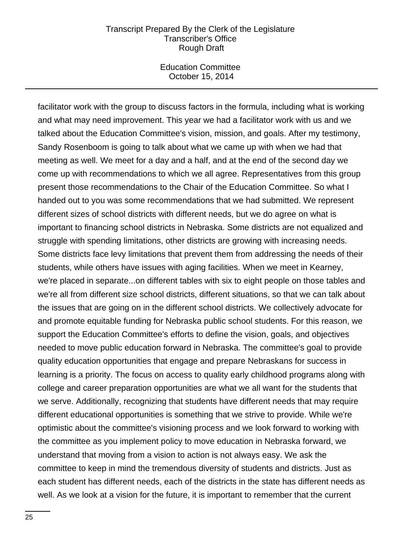Education Committee October 15, 2014

facilitator work with the group to discuss factors in the formula, including what is working and what may need improvement. This year we had a facilitator work with us and we talked about the Education Committee's vision, mission, and goals. After my testimony, Sandy Rosenboom is going to talk about what we came up with when we had that meeting as well. We meet for a day and a half, and at the end of the second day we come up with recommendations to which we all agree. Representatives from this group present those recommendations to the Chair of the Education Committee. So what I handed out to you was some recommendations that we had submitted. We represent different sizes of school districts with different needs, but we do agree on what is important to financing school districts in Nebraska. Some districts are not equalized and struggle with spending limitations, other districts are growing with increasing needs. Some districts face levy limitations that prevent them from addressing the needs of their students, while others have issues with aging facilities. When we meet in Kearney, we're placed in separate...on different tables with six to eight people on those tables and we're all from different size school districts, different situations, so that we can talk about the issues that are going on in the different school districts. We collectively advocate for and promote equitable funding for Nebraska public school students. For this reason, we support the Education Committee's efforts to define the vision, goals, and objectives needed to move public education forward in Nebraska. The committee's goal to provide quality education opportunities that engage and prepare Nebraskans for success in learning is a priority. The focus on access to quality early childhood programs along with college and career preparation opportunities are what we all want for the students that we serve. Additionally, recognizing that students have different needs that may require different educational opportunities is something that we strive to provide. While we're optimistic about the committee's visioning process and we look forward to working with the committee as you implement policy to move education in Nebraska forward, we understand that moving from a vision to action is not always easy. We ask the committee to keep in mind the tremendous diversity of students and districts. Just as each student has different needs, each of the districts in the state has different needs as well. As we look at a vision for the future, it is important to remember that the current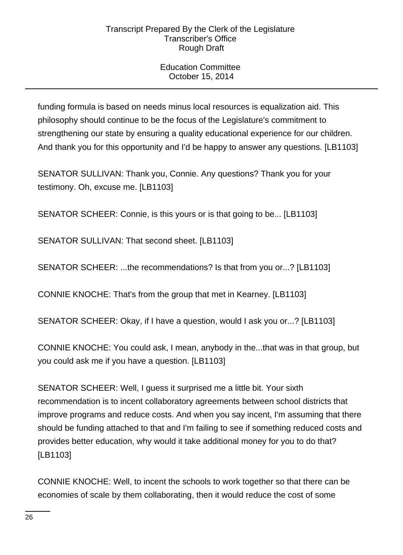# Education Committee October 15, 2014

funding formula is based on needs minus local resources is equalization aid. This philosophy should continue to be the focus of the Legislature's commitment to strengthening our state by ensuring a quality educational experience for our children. And thank you for this opportunity and I'd be happy to answer any questions. [LB1103]

SENATOR SULLIVAN: Thank you, Connie. Any questions? Thank you for your testimony. Oh, excuse me. [LB1103]

SENATOR SCHEER: Connie, is this yours or is that going to be... [LB1103]

SENATOR SULLIVAN: That second sheet. [LB1103]

SENATOR SCHEER: ...the recommendations? Is that from you or...? [LB1103]

CONNIE KNOCHE: That's from the group that met in Kearney. [LB1103]

SENATOR SCHEER: Okay, if I have a question, would I ask you or...? [LB1103]

CONNIE KNOCHE: You could ask, I mean, anybody in the...that was in that group, but you could ask me if you have a question. [LB1103]

SENATOR SCHEER: Well, I guess it surprised me a little bit. Your sixth recommendation is to incent collaboratory agreements between school districts that improve programs and reduce costs. And when you say incent, I'm assuming that there should be funding attached to that and I'm failing to see if something reduced costs and provides better education, why would it take additional money for you to do that? [LB1103]

CONNIE KNOCHE: Well, to incent the schools to work together so that there can be economies of scale by them collaborating, then it would reduce the cost of some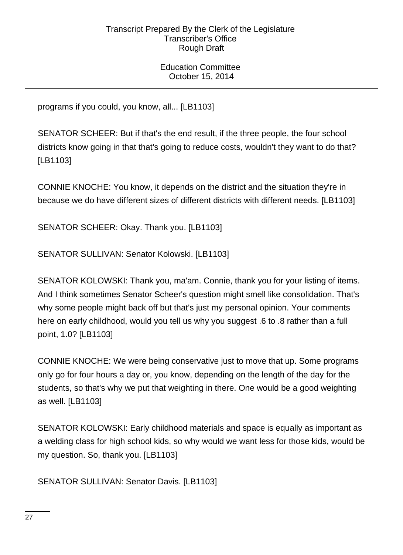Education Committee October 15, 2014

programs if you could, you know, all... [LB1103]

SENATOR SCHEER: But if that's the end result, if the three people, the four school districts know going in that that's going to reduce costs, wouldn't they want to do that? [LB1103]

CONNIE KNOCHE: You know, it depends on the district and the situation they're in because we do have different sizes of different districts with different needs. [LB1103]

SENATOR SCHEER: Okay. Thank you. [LB1103]

SENATOR SULLIVAN: Senator Kolowski. [LB1103]

SENATOR KOLOWSKI: Thank you, ma'am. Connie, thank you for your listing of items. And I think sometimes Senator Scheer's question might smell like consolidation. That's why some people might back off but that's just my personal opinion. Your comments here on early childhood, would you tell us why you suggest .6 to .8 rather than a full point, 1.0? [LB1103]

CONNIE KNOCHE: We were being conservative just to move that up. Some programs only go for four hours a day or, you know, depending on the length of the day for the students, so that's why we put that weighting in there. One would be a good weighting as well. [LB1103]

SENATOR KOLOWSKI: Early childhood materials and space is equally as important as a welding class for high school kids, so why would we want less for those kids, would be my question. So, thank you. [LB1103]

SENATOR SULLIVAN: Senator Davis. [LB1103]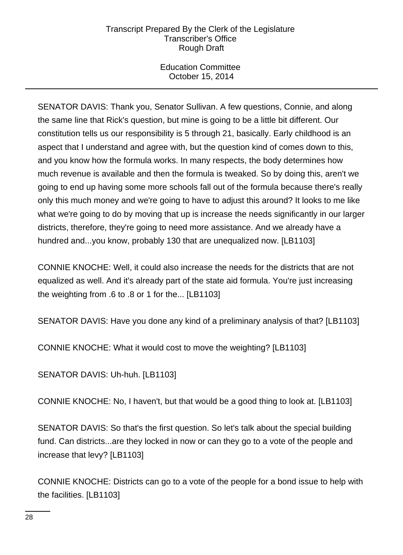Education Committee October 15, 2014

SENATOR DAVIS: Thank you, Senator Sullivan. A few questions, Connie, and along the same line that Rick's question, but mine is going to be a little bit different. Our constitution tells us our responsibility is 5 through 21, basically. Early childhood is an aspect that I understand and agree with, but the question kind of comes down to this, and you know how the formula works. In many respects, the body determines how much revenue is available and then the formula is tweaked. So by doing this, aren't we going to end up having some more schools fall out of the formula because there's really only this much money and we're going to have to adjust this around? It looks to me like what we're going to do by moving that up is increase the needs significantly in our larger districts, therefore, they're going to need more assistance. And we already have a hundred and...you know, probably 130 that are unequalized now. [LB1103]

CONNIE KNOCHE: Well, it could also increase the needs for the districts that are not equalized as well. And it's already part of the state aid formula. You're just increasing the weighting from .6 to .8 or 1 for the... [LB1103]

SENATOR DAVIS: Have you done any kind of a preliminary analysis of that? [LB1103]

CONNIE KNOCHE: What it would cost to move the weighting? [LB1103]

SENATOR DAVIS: Uh-huh. [LB1103]

CONNIE KNOCHE: No, I haven't, but that would be a good thing to look at. [LB1103]

SENATOR DAVIS: So that's the first question. So let's talk about the special building fund. Can districts...are they locked in now or can they go to a vote of the people and increase that levy? [LB1103]

CONNIE KNOCHE: Districts can go to a vote of the people for a bond issue to help with the facilities. [LB1103]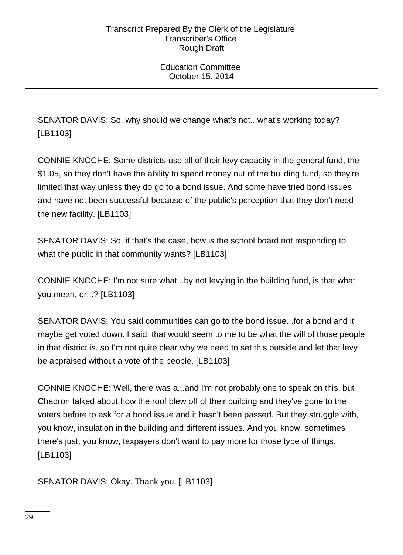Education Committee October 15, 2014

SENATOR DAVIS: So, why should we change what's not...what's working today? [LB1103]

CONNIE KNOCHE: Some districts use all of their levy capacity in the general fund, the \$1.05, so they don't have the ability to spend money out of the building fund, so they're limited that way unless they do go to a bond issue. And some have tried bond issues and have not been successful because of the public's perception that they don't need the new facility. [LB1103]

SENATOR DAVIS: So, if that's the case, how is the school board not responding to what the public in that community wants? [LB1103]

CONNIE KNOCHE: I'm not sure what...by not levying in the building fund, is that what you mean, or...? [LB1103]

SENATOR DAVIS: You said communities can go to the bond issue...for a bond and it maybe get voted down. I said, that would seem to me to be what the will of those people in that district is, so I'm not quite clear why we need to set this outside and let that levy be appraised without a vote of the people. [LB1103]

CONNIE KNOCHE: Well, there was a...and I'm not probably one to speak on this, but Chadron talked about how the roof blew off of their building and they've gone to the voters before to ask for a bond issue and it hasn't been passed. But they struggle with, you know, insulation in the building and different issues. And you know, sometimes there's just, you know, taxpayers don't want to pay more for those type of things. [LB1103]

SENATOR DAVIS: Okay. Thank you. [LB1103]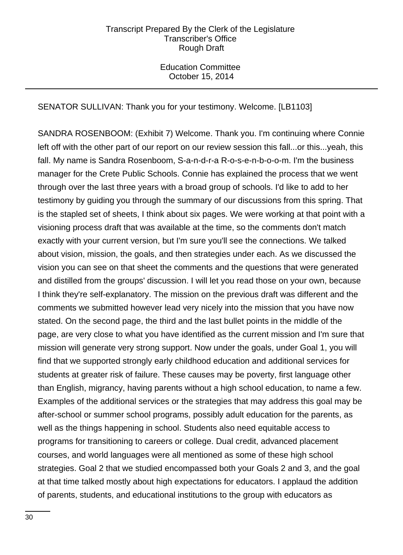Education Committee October 15, 2014

SENATOR SULLIVAN: Thank you for your testimony. Welcome. [LB1103]

SANDRA ROSENBOOM: (Exhibit 7) Welcome. Thank you. I'm continuing where Connie left off with the other part of our report on our review session this fall...or this...yeah, this fall. My name is Sandra Rosenboom, S-a-n-d-r-a R-o-s-e-n-b-o-o-m. I'm the business manager for the Crete Public Schools. Connie has explained the process that we went through over the last three years with a broad group of schools. I'd like to add to her testimony by guiding you through the summary of our discussions from this spring. That is the stapled set of sheets, I think about six pages. We were working at that point with a visioning process draft that was available at the time, so the comments don't match exactly with your current version, but I'm sure you'll see the connections. We talked about vision, mission, the goals, and then strategies under each. As we discussed the vision you can see on that sheet the comments and the questions that were generated and distilled from the groups' discussion. I will let you read those on your own, because I think they're self-explanatory. The mission on the previous draft was different and the comments we submitted however lead very nicely into the mission that you have now stated. On the second page, the third and the last bullet points in the middle of the page, are very close to what you have identified as the current mission and I'm sure that mission will generate very strong support. Now under the goals, under Goal 1, you will find that we supported strongly early childhood education and additional services for students at greater risk of failure. These causes may be poverty, first language other than English, migrancy, having parents without a high school education, to name a few. Examples of the additional services or the strategies that may address this goal may be after-school or summer school programs, possibly adult education for the parents, as well as the things happening in school. Students also need equitable access to programs for transitioning to careers or college. Dual credit, advanced placement courses, and world languages were all mentioned as some of these high school strategies. Goal 2 that we studied encompassed both your Goals 2 and 3, and the goal at that time talked mostly about high expectations for educators. I applaud the addition of parents, students, and educational institutions to the group with educators as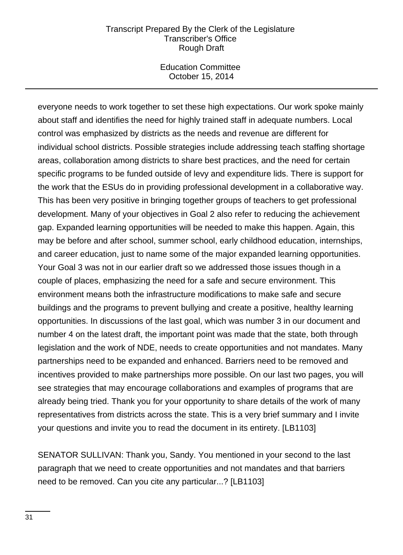Education Committee October 15, 2014

everyone needs to work together to set these high expectations. Our work spoke mainly about staff and identifies the need for highly trained staff in adequate numbers. Local control was emphasized by districts as the needs and revenue are different for individual school districts. Possible strategies include addressing teach staffing shortage areas, collaboration among districts to share best practices, and the need for certain specific programs to be funded outside of levy and expenditure lids. There is support for the work that the ESUs do in providing professional development in a collaborative way. This has been very positive in bringing together groups of teachers to get professional development. Many of your objectives in Goal 2 also refer to reducing the achievement gap. Expanded learning opportunities will be needed to make this happen. Again, this may be before and after school, summer school, early childhood education, internships, and career education, just to name some of the major expanded learning opportunities. Your Goal 3 was not in our earlier draft so we addressed those issues though in a couple of places, emphasizing the need for a safe and secure environment. This environment means both the infrastructure modifications to make safe and secure buildings and the programs to prevent bullying and create a positive, healthy learning opportunities. In discussions of the last goal, which was number 3 in our document and number 4 on the latest draft, the important point was made that the state, both through legislation and the work of NDE, needs to create opportunities and not mandates. Many partnerships need to be expanded and enhanced. Barriers need to be removed and incentives provided to make partnerships more possible. On our last two pages, you will see strategies that may encourage collaborations and examples of programs that are already being tried. Thank you for your opportunity to share details of the work of many representatives from districts across the state. This is a very brief summary and I invite your questions and invite you to read the document in its entirety. [LB1103]

SENATOR SULLIVAN: Thank you, Sandy. You mentioned in your second to the last paragraph that we need to create opportunities and not mandates and that barriers need to be removed. Can you cite any particular...? [LB1103]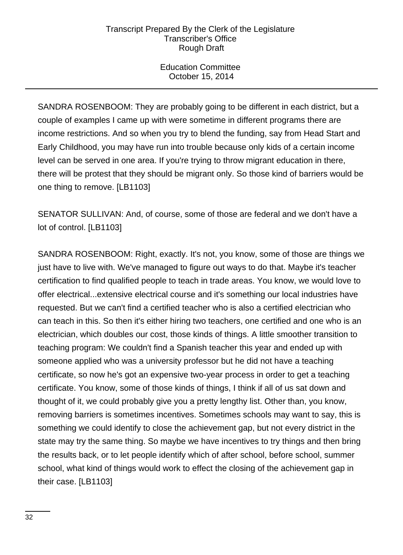Education Committee October 15, 2014

SANDRA ROSENBOOM: They are probably going to be different in each district, but a couple of examples I came up with were sometime in different programs there are income restrictions. And so when you try to blend the funding, say from Head Start and Early Childhood, you may have run into trouble because only kids of a certain income level can be served in one area. If you're trying to throw migrant education in there, there will be protest that they should be migrant only. So those kind of barriers would be one thing to remove. [LB1103]

SENATOR SULLIVAN: And, of course, some of those are federal and we don't have a lot of control. [LB1103]

SANDRA ROSENBOOM: Right, exactly. It's not, you know, some of those are things we just have to live with. We've managed to figure out ways to do that. Maybe it's teacher certification to find qualified people to teach in trade areas. You know, we would love to offer electrical...extensive electrical course and it's something our local industries have requested. But we can't find a certified teacher who is also a certified electrician who can teach in this. So then it's either hiring two teachers, one certified and one who is an electrician, which doubles our cost, those kinds of things. A little smoother transition to teaching program: We couldn't find a Spanish teacher this year and ended up with someone applied who was a university professor but he did not have a teaching certificate, so now he's got an expensive two-year process in order to get a teaching certificate. You know, some of those kinds of things, I think if all of us sat down and thought of it, we could probably give you a pretty lengthy list. Other than, you know, removing barriers is sometimes incentives. Sometimes schools may want to say, this is something we could identify to close the achievement gap, but not every district in the state may try the same thing. So maybe we have incentives to try things and then bring the results back, or to let people identify which of after school, before school, summer school, what kind of things would work to effect the closing of the achievement gap in their case. [LB1103]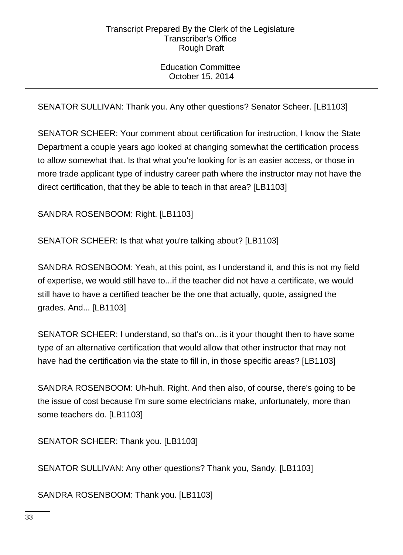Education Committee October 15, 2014

SENATOR SULLIVAN: Thank you. Any other questions? Senator Scheer. [LB1103]

SENATOR SCHEER: Your comment about certification for instruction, I know the State Department a couple years ago looked at changing somewhat the certification process to allow somewhat that. Is that what you're looking for is an easier access, or those in more trade applicant type of industry career path where the instructor may not have the direct certification, that they be able to teach in that area? [LB1103]

SANDRA ROSENBOOM: Right. [LB1103]

SENATOR SCHEER: Is that what you're talking about? [LB1103]

SANDRA ROSENBOOM: Yeah, at this point, as I understand it, and this is not my field of expertise, we would still have to...if the teacher did not have a certificate, we would still have to have a certified teacher be the one that actually, quote, assigned the grades. And... [LB1103]

SENATOR SCHEER: I understand, so that's on...is it your thought then to have some type of an alternative certification that would allow that other instructor that may not have had the certification via the state to fill in, in those specific areas? [LB1103]

SANDRA ROSENBOOM: Uh-huh. Right. And then also, of course, there's going to be the issue of cost because I'm sure some electricians make, unfortunately, more than some teachers do. [LB1103]

SENATOR SCHEER: Thank you. [LB1103]

SENATOR SULLIVAN: Any other questions? Thank you, Sandy. [LB1103]

SANDRA ROSENBOOM: Thank you. [LB1103]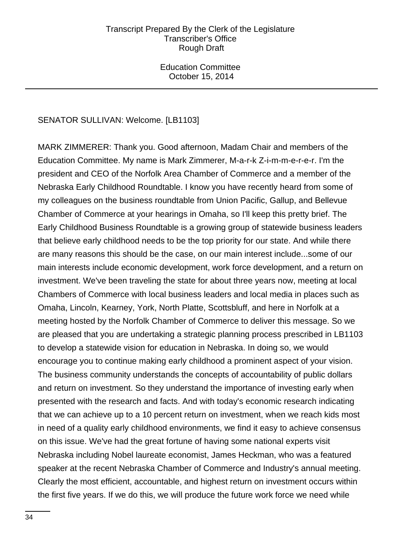Education Committee October 15, 2014

# SENATOR SULLIVAN: Welcome. [LB1103]

MARK ZIMMERER: Thank you. Good afternoon, Madam Chair and members of the Education Committee. My name is Mark Zimmerer, M-a-r-k Z-i-m-m-e-r-e-r. I'm the president and CEO of the Norfolk Area Chamber of Commerce and a member of the Nebraska Early Childhood Roundtable. I know you have recently heard from some of my colleagues on the business roundtable from Union Pacific, Gallup, and Bellevue Chamber of Commerce at your hearings in Omaha, so I'll keep this pretty brief. The Early Childhood Business Roundtable is a growing group of statewide business leaders that believe early childhood needs to be the top priority for our state. And while there are many reasons this should be the case, on our main interest include...some of our main interests include economic development, work force development, and a return on investment. We've been traveling the state for about three years now, meeting at local Chambers of Commerce with local business leaders and local media in places such as Omaha, Lincoln, Kearney, York, North Platte, Scottsbluff, and here in Norfolk at a meeting hosted by the Norfolk Chamber of Commerce to deliver this message. So we are pleased that you are undertaking a strategic planning process prescribed in LB1103 to develop a statewide vision for education in Nebraska. In doing so, we would encourage you to continue making early childhood a prominent aspect of your vision. The business community understands the concepts of accountability of public dollars and return on investment. So they understand the importance of investing early when presented with the research and facts. And with today's economic research indicating that we can achieve up to a 10 percent return on investment, when we reach kids most in need of a quality early childhood environments, we find it easy to achieve consensus on this issue. We've had the great fortune of having some national experts visit Nebraska including Nobel laureate economist, James Heckman, who was a featured speaker at the recent Nebraska Chamber of Commerce and Industry's annual meeting. Clearly the most efficient, accountable, and highest return on investment occurs within the first five years. If we do this, we will produce the future work force we need while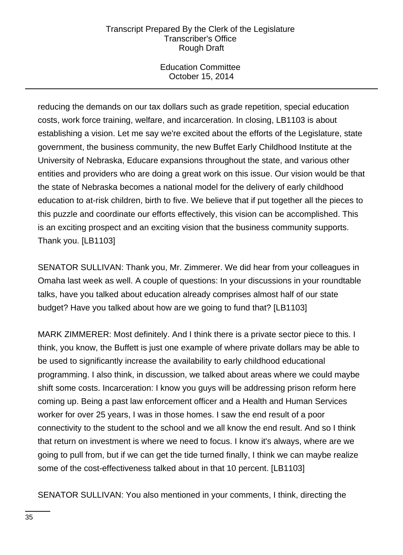Education Committee October 15, 2014

reducing the demands on our tax dollars such as grade repetition, special education costs, work force training, welfare, and incarceration. In closing, LB1103 is about establishing a vision. Let me say we're excited about the efforts of the Legislature, state government, the business community, the new Buffet Early Childhood Institute at the University of Nebraska, Educare expansions throughout the state, and various other entities and providers who are doing a great work on this issue. Our vision would be that the state of Nebraska becomes a national model for the delivery of early childhood education to at-risk children, birth to five. We believe that if put together all the pieces to this puzzle and coordinate our efforts effectively, this vision can be accomplished. This is an exciting prospect and an exciting vision that the business community supports. Thank you. [LB1103]

SENATOR SULLIVAN: Thank you, Mr. Zimmerer. We did hear from your colleagues in Omaha last week as well. A couple of questions: In your discussions in your roundtable talks, have you talked about education already comprises almost half of our state budget? Have you talked about how are we going to fund that? [LB1103]

MARK ZIMMERER: Most definitely. And I think there is a private sector piece to this. I think, you know, the Buffett is just one example of where private dollars may be able to be used to significantly increase the availability to early childhood educational programming. I also think, in discussion, we talked about areas where we could maybe shift some costs. Incarceration: I know you guys will be addressing prison reform here coming up. Being a past law enforcement officer and a Health and Human Services worker for over 25 years, I was in those homes. I saw the end result of a poor connectivity to the student to the school and we all know the end result. And so I think that return on investment is where we need to focus. I know it's always, where are we going to pull from, but if we can get the tide turned finally, I think we can maybe realize some of the cost-effectiveness talked about in that 10 percent. [LB1103]

SENATOR SULLIVAN: You also mentioned in your comments, I think, directing the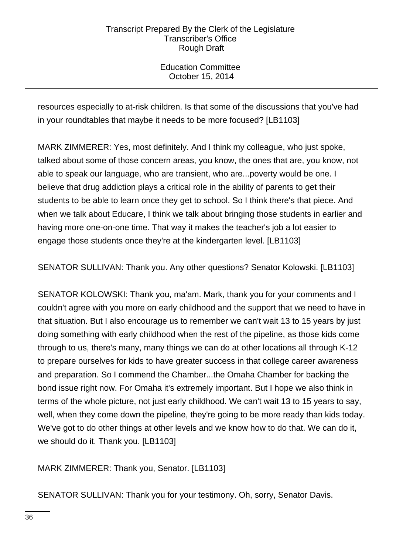Education Committee October 15, 2014

resources especially to at-risk children. Is that some of the discussions that you've had in your roundtables that maybe it needs to be more focused? [LB1103]

MARK ZIMMERER: Yes, most definitely. And I think my colleague, who just spoke, talked about some of those concern areas, you know, the ones that are, you know, not able to speak our language, who are transient, who are...poverty would be one. I believe that drug addiction plays a critical role in the ability of parents to get their students to be able to learn once they get to school. So I think there's that piece. And when we talk about Educare, I think we talk about bringing those students in earlier and having more one-on-one time. That way it makes the teacher's job a lot easier to engage those students once they're at the kindergarten level. [LB1103]

SENATOR SULLIVAN: Thank you. Any other questions? Senator Kolowski. [LB1103]

SENATOR KOLOWSKI: Thank you, ma'am. Mark, thank you for your comments and I couldn't agree with you more on early childhood and the support that we need to have in that situation. But I also encourage us to remember we can't wait 13 to 15 years by just doing something with early childhood when the rest of the pipeline, as those kids come through to us, there's many, many things we can do at other locations all through K-12 to prepare ourselves for kids to have greater success in that college career awareness and preparation. So I commend the Chamber...the Omaha Chamber for backing the bond issue right now. For Omaha it's extremely important. But I hope we also think in terms of the whole picture, not just early childhood. We can't wait 13 to 15 years to say, well, when they come down the pipeline, they're going to be more ready than kids today. We've got to do other things at other levels and we know how to do that. We can do it, we should do it. Thank you. [LB1103]

MARK ZIMMERER: Thank you, Senator. [LB1103]

SENATOR SULLIVAN: Thank you for your testimony. Oh, sorry, Senator Davis.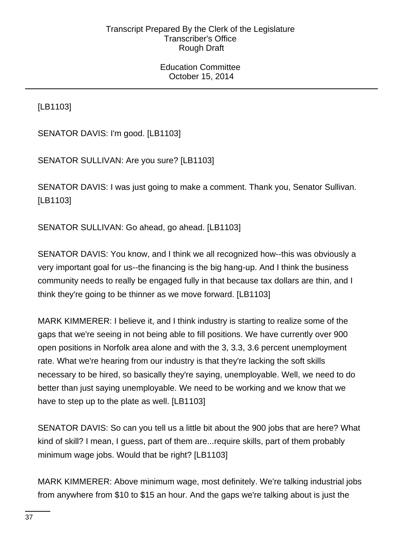Education Committee October 15, 2014

[LB1103]

SENATOR DAVIS: I'm good. [LB1103]

SENATOR SULLIVAN: Are you sure? [LB1103]

SENATOR DAVIS: I was just going to make a comment. Thank you, Senator Sullivan. [LB1103]

SENATOR SULLIVAN: Go ahead, go ahead. [LB1103]

SENATOR DAVIS: You know, and I think we all recognized how--this was obviously a very important goal for us--the financing is the big hang-up. And I think the business community needs to really be engaged fully in that because tax dollars are thin, and I think they're going to be thinner as we move forward. [LB1103]

MARK KIMMERER: I believe it, and I think industry is starting to realize some of the gaps that we're seeing in not being able to fill positions. We have currently over 900 open positions in Norfolk area alone and with the 3, 3.3, 3.6 percent unemployment rate. What we're hearing from our industry is that they're lacking the soft skills necessary to be hired, so basically they're saying, unemployable. Well, we need to do better than just saying unemployable. We need to be working and we know that we have to step up to the plate as well. [LB1103]

SENATOR DAVIS: So can you tell us a little bit about the 900 jobs that are here? What kind of skill? I mean, I guess, part of them are...require skills, part of them probably minimum wage jobs. Would that be right? [LB1103]

MARK KIMMERER: Above minimum wage, most definitely. We're talking industrial jobs from anywhere from \$10 to \$15 an hour. And the gaps we're talking about is just the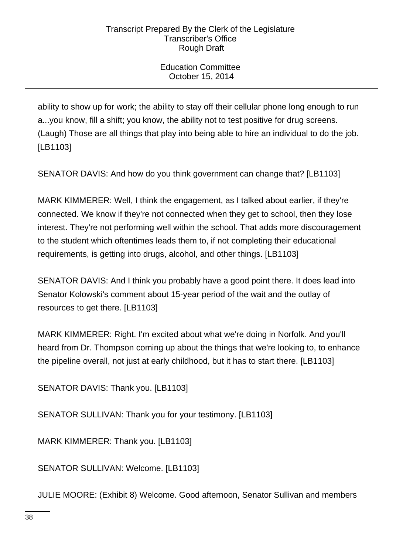Education Committee October 15, 2014

ability to show up for work; the ability to stay off their cellular phone long enough to run a...you know, fill a shift; you know, the ability not to test positive for drug screens. (Laugh) Those are all things that play into being able to hire an individual to do the job. [LB1103]

SENATOR DAVIS: And how do you think government can change that? [LB1103]

MARK KIMMERER: Well, I think the engagement, as I talked about earlier, if they're connected. We know if they're not connected when they get to school, then they lose interest. They're not performing well within the school. That adds more discouragement to the student which oftentimes leads them to, if not completing their educational requirements, is getting into drugs, alcohol, and other things. [LB1103]

SENATOR DAVIS: And I think you probably have a good point there. It does lead into Senator Kolowski's comment about 15-year period of the wait and the outlay of resources to get there. [LB1103]

MARK KIMMERER: Right. I'm excited about what we're doing in Norfolk. And you'll heard from Dr. Thompson coming up about the things that we're looking to, to enhance the pipeline overall, not just at early childhood, but it has to start there. [LB1103]

SENATOR DAVIS: Thank you. [LB1103]

SENATOR SULLIVAN: Thank you for your testimony. [LB1103]

MARK KIMMERER: Thank you. [LB1103]

SENATOR SULLIVAN: Welcome. [LB1103]

JULIE MOORE: (Exhibit 8) Welcome. Good afternoon, Senator Sullivan and members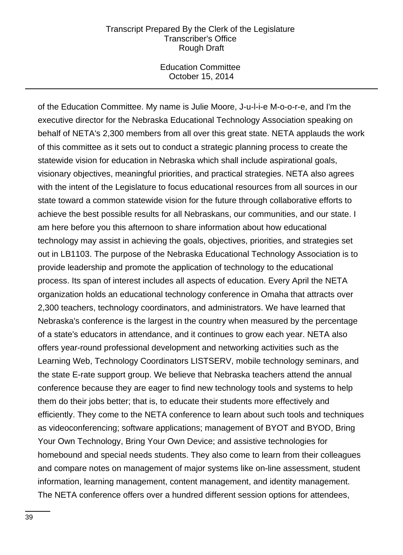Education Committee October 15, 2014

of the Education Committee. My name is Julie Moore, J-u-l-i-e M-o-o-r-e, and I'm the executive director for the Nebraska Educational Technology Association speaking on behalf of NETA's 2,300 members from all over this great state. NETA applauds the work of this committee as it sets out to conduct a strategic planning process to create the statewide vision for education in Nebraska which shall include aspirational goals, visionary objectives, meaningful priorities, and practical strategies. NETA also agrees with the intent of the Legislature to focus educational resources from all sources in our state toward a common statewide vision for the future through collaborative efforts to achieve the best possible results for all Nebraskans, our communities, and our state. I am here before you this afternoon to share information about how educational technology may assist in achieving the goals, objectives, priorities, and strategies set out in LB1103. The purpose of the Nebraska Educational Technology Association is to provide leadership and promote the application of technology to the educational process. Its span of interest includes all aspects of education. Every April the NETA organization holds an educational technology conference in Omaha that attracts over 2,300 teachers, technology coordinators, and administrators. We have learned that Nebraska's conference is the largest in the country when measured by the percentage of a state's educators in attendance, and it continues to grow each year. NETA also offers year-round professional development and networking activities such as the Learning Web, Technology Coordinators LISTSERV, mobile technology seminars, and the state E-rate support group. We believe that Nebraska teachers attend the annual conference because they are eager to find new technology tools and systems to help them do their jobs better; that is, to educate their students more effectively and efficiently. They come to the NETA conference to learn about such tools and techniques as videoconferencing; software applications; management of BYOT and BYOD, Bring Your Own Technology, Bring Your Own Device; and assistive technologies for homebound and special needs students. They also come to learn from their colleagues and compare notes on management of major systems like on-line assessment, student information, learning management, content management, and identity management. The NETA conference offers over a hundred different session options for attendees,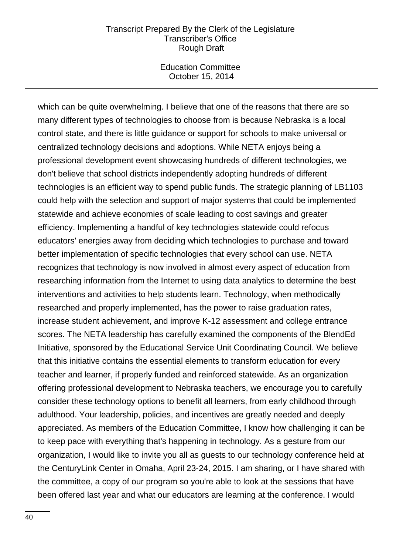Education Committee October 15, 2014

which can be quite overwhelming. I believe that one of the reasons that there are so many different types of technologies to choose from is because Nebraska is a local control state, and there is little guidance or support for schools to make universal or centralized technology decisions and adoptions. While NETA enjoys being a professional development event showcasing hundreds of different technologies, we don't believe that school districts independently adopting hundreds of different technologies is an efficient way to spend public funds. The strategic planning of LB1103 could help with the selection and support of major systems that could be implemented statewide and achieve economies of scale leading to cost savings and greater efficiency. Implementing a handful of key technologies statewide could refocus educators' energies away from deciding which technologies to purchase and toward better implementation of specific technologies that every school can use. NETA recognizes that technology is now involved in almost every aspect of education from researching information from the Internet to using data analytics to determine the best interventions and activities to help students learn. Technology, when methodically researched and properly implemented, has the power to raise graduation rates, increase student achievement, and improve K-12 assessment and college entrance scores. The NETA leadership has carefully examined the components of the BlendEd Initiative, sponsored by the Educational Service Unit Coordinating Council. We believe that this initiative contains the essential elements to transform education for every teacher and learner, if properly funded and reinforced statewide. As an organization offering professional development to Nebraska teachers, we encourage you to carefully consider these technology options to benefit all learners, from early childhood through adulthood. Your leadership, policies, and incentives are greatly needed and deeply appreciated. As members of the Education Committee, I know how challenging it can be to keep pace with everything that's happening in technology. As a gesture from our organization, I would like to invite you all as guests to our technology conference held at the CenturyLink Center in Omaha, April 23-24, 2015. I am sharing, or I have shared with the committee, a copy of our program so you're able to look at the sessions that have been offered last year and what our educators are learning at the conference. I would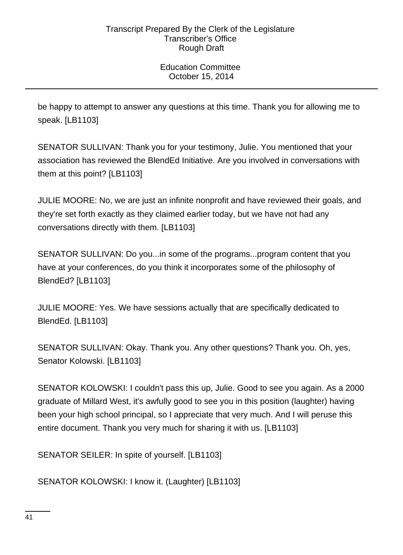Education Committee October 15, 2014

be happy to attempt to answer any questions at this time. Thank you for allowing me to speak. [LB1103]

SENATOR SULLIVAN: Thank you for your testimony, Julie. You mentioned that your association has reviewed the BlendEd Initiative. Are you involved in conversations with them at this point? [LB1103]

JULIE MOORE: No, we are just an infinite nonprofit and have reviewed their goals, and they're set forth exactly as they claimed earlier today, but we have not had any conversations directly with them. [LB1103]

SENATOR SULLIVAN: Do you...in some of the programs...program content that you have at your conferences, do you think it incorporates some of the philosophy of BlendEd? [LB1103]

JULIE MOORE: Yes. We have sessions actually that are specifically dedicated to BlendEd. [LB1103]

SENATOR SULLIVAN: Okay. Thank you. Any other questions? Thank you. Oh, yes, Senator Kolowski. [LB1103]

SENATOR KOLOWSKI: I couldn't pass this up, Julie. Good to see you again. As a 2000 graduate of Millard West, it's awfully good to see you in this position (laughter) having been your high school principal, so I appreciate that very much. And I will peruse this entire document. Thank you very much for sharing it with us. [LB1103]

SENATOR SEILER: In spite of yourself. [LB1103]

SENATOR KOLOWSKI: I know it. (Laughter) [LB1103]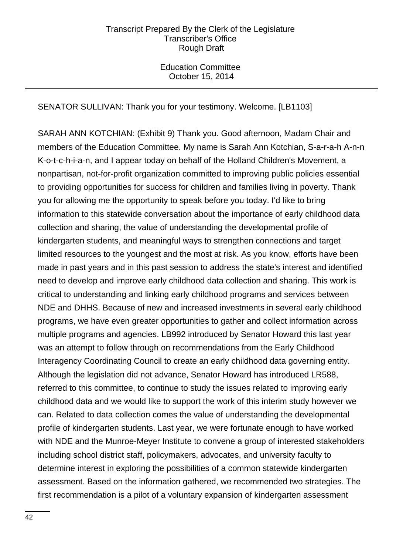Education Committee October 15, 2014

# SENATOR SULLIVAN: Thank you for your testimony. Welcome. [LB1103]

SARAH ANN KOTCHIAN: (Exhibit 9) Thank you. Good afternoon, Madam Chair and members of the Education Committee. My name is Sarah Ann Kotchian, S-a-r-a-h A-n-n K-o-t-c-h-i-a-n, and I appear today on behalf of the Holland Children's Movement, a nonpartisan, not-for-profit organization committed to improving public policies essential to providing opportunities for success for children and families living in poverty. Thank you for allowing me the opportunity to speak before you today. I'd like to bring information to this statewide conversation about the importance of early childhood data collection and sharing, the value of understanding the developmental profile of kindergarten students, and meaningful ways to strengthen connections and target limited resources to the youngest and the most at risk. As you know, efforts have been made in past years and in this past session to address the state's interest and identified need to develop and improve early childhood data collection and sharing. This work is critical to understanding and linking early childhood programs and services between NDE and DHHS. Because of new and increased investments in several early childhood programs, we have even greater opportunities to gather and collect information across multiple programs and agencies. LB992 introduced by Senator Howard this last year was an attempt to follow through on recommendations from the Early Childhood Interagency Coordinating Council to create an early childhood data governing entity. Although the legislation did not advance, Senator Howard has introduced LR588, referred to this committee, to continue to study the issues related to improving early childhood data and we would like to support the work of this interim study however we can. Related to data collection comes the value of understanding the developmental profile of kindergarten students. Last year, we were fortunate enough to have worked with NDE and the Munroe-Meyer Institute to convene a group of interested stakeholders including school district staff, policymakers, advocates, and university faculty to determine interest in exploring the possibilities of a common statewide kindergarten assessment. Based on the information gathered, we recommended two strategies. The first recommendation is a pilot of a voluntary expansion of kindergarten assessment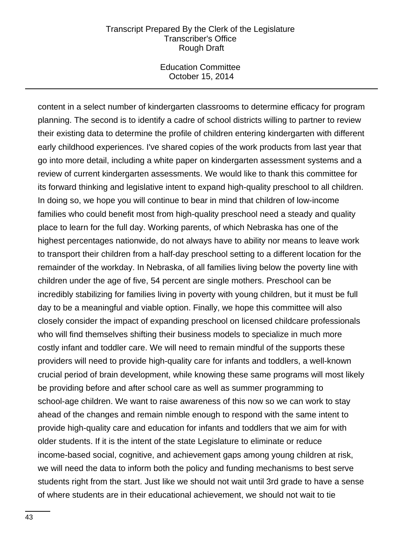Education Committee October 15, 2014

content in a select number of kindergarten classrooms to determine efficacy for program planning. The second is to identify a cadre of school districts willing to partner to review their existing data to determine the profile of children entering kindergarten with different early childhood experiences. I've shared copies of the work products from last year that go into more detail, including a white paper on kindergarten assessment systems and a review of current kindergarten assessments. We would like to thank this committee for its forward thinking and legislative intent to expand high-quality preschool to all children. In doing so, we hope you will continue to bear in mind that children of low-income families who could benefit most from high-quality preschool need a steady and quality place to learn for the full day. Working parents, of which Nebraska has one of the highest percentages nationwide, do not always have to ability nor means to leave work to transport their children from a half-day preschool setting to a different location for the remainder of the workday. In Nebraska, of all families living below the poverty line with children under the age of five, 54 percent are single mothers. Preschool can be incredibly stabilizing for families living in poverty with young children, but it must be full day to be a meaningful and viable option. Finally, we hope this committee will also closely consider the impact of expanding preschool on licensed childcare professionals who will find themselves shifting their business models to specialize in much more costly infant and toddler care. We will need to remain mindful of the supports these providers will need to provide high-quality care for infants and toddlers, a well-known crucial period of brain development, while knowing these same programs will most likely be providing before and after school care as well as summer programming to school-age children. We want to raise awareness of this now so we can work to stay ahead of the changes and remain nimble enough to respond with the same intent to provide high-quality care and education for infants and toddlers that we aim for with older students. If it is the intent of the state Legislature to eliminate or reduce income-based social, cognitive, and achievement gaps among young children at risk, we will need the data to inform both the policy and funding mechanisms to best serve students right from the start. Just like we should not wait until 3rd grade to have a sense of where students are in their educational achievement, we should not wait to tie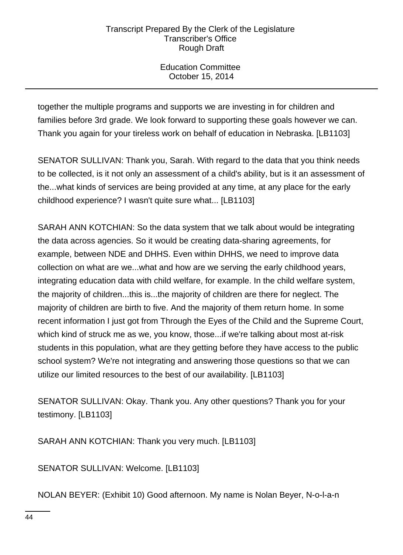Education Committee October 15, 2014

together the multiple programs and supports we are investing in for children and families before 3rd grade. We look forward to supporting these goals however we can. Thank you again for your tireless work on behalf of education in Nebraska. [LB1103]

SENATOR SULLIVAN: Thank you, Sarah. With regard to the data that you think needs to be collected, is it not only an assessment of a child's ability, but is it an assessment of the...what kinds of services are being provided at any time, at any place for the early childhood experience? I wasn't quite sure what... [LB1103]

SARAH ANN KOTCHIAN: So the data system that we talk about would be integrating the data across agencies. So it would be creating data-sharing agreements, for example, between NDE and DHHS. Even within DHHS, we need to improve data collection on what are we...what and how are we serving the early childhood years, integrating education data with child welfare, for example. In the child welfare system, the majority of children...this is...the majority of children are there for neglect. The majority of children are birth to five. And the majority of them return home. In some recent information I just got from Through the Eyes of the Child and the Supreme Court, which kind of struck me as we, you know, those...if we're talking about most at-risk students in this population, what are they getting before they have access to the public school system? We're not integrating and answering those questions so that we can utilize our limited resources to the best of our availability. [LB1103]

SENATOR SULLIVAN: Okay. Thank you. Any other questions? Thank you for your testimony. [LB1103]

SARAH ANN KOTCHIAN: Thank you very much. [LB1103]

SENATOR SULLIVAN: Welcome. [LB1103]

NOLAN BEYER: (Exhibit 10) Good afternoon. My name is Nolan Beyer, N-o-l-a-n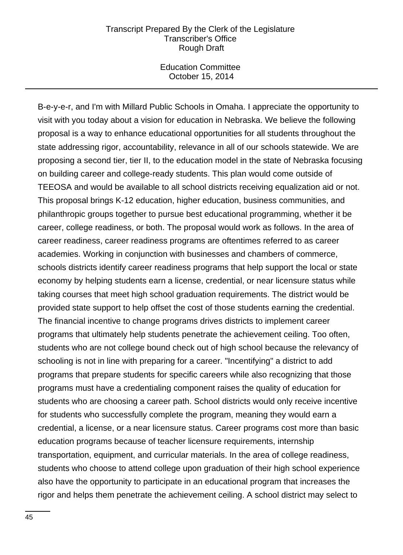Education Committee October 15, 2014

B-e-y-e-r, and I'm with Millard Public Schools in Omaha. I appreciate the opportunity to visit with you today about a vision for education in Nebraska. We believe the following proposal is a way to enhance educational opportunities for all students throughout the state addressing rigor, accountability, relevance in all of our schools statewide. We are proposing a second tier, tier II, to the education model in the state of Nebraska focusing on building career and college-ready students. This plan would come outside of TEEOSA and would be available to all school districts receiving equalization aid or not. This proposal brings K-12 education, higher education, business communities, and philanthropic groups together to pursue best educational programming, whether it be career, college readiness, or both. The proposal would work as follows. In the area of career readiness, career readiness programs are oftentimes referred to as career academies. Working in conjunction with businesses and chambers of commerce, schools districts identify career readiness programs that help support the local or state economy by helping students earn a license, credential, or near licensure status while taking courses that meet high school graduation requirements. The district would be provided state support to help offset the cost of those students earning the credential. The financial incentive to change programs drives districts to implement career programs that ultimately help students penetrate the achievement ceiling. Too often, students who are not college bound check out of high school because the relevancy of schooling is not in line with preparing for a career. "Incentifying" a district to add programs that prepare students for specific careers while also recognizing that those programs must have a credentialing component raises the quality of education for students who are choosing a career path. School districts would only receive incentive for students who successfully complete the program, meaning they would earn a credential, a license, or a near licensure status. Career programs cost more than basic education programs because of teacher licensure requirements, internship transportation, equipment, and curricular materials. In the area of college readiness, students who choose to attend college upon graduation of their high school experience also have the opportunity to participate in an educational program that increases the rigor and helps them penetrate the achievement ceiling. A school district may select to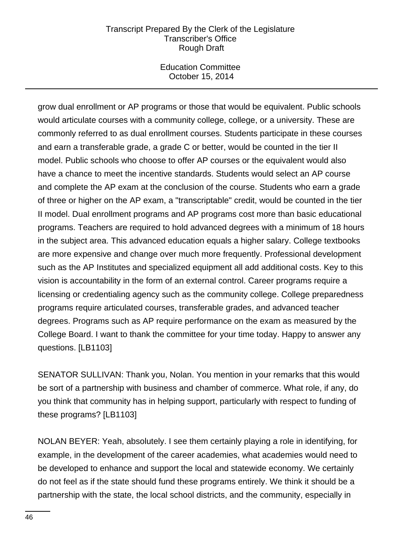Education Committee October 15, 2014

grow dual enrollment or AP programs or those that would be equivalent. Public schools would articulate courses with a community college, college, or a university. These are commonly referred to as dual enrollment courses. Students participate in these courses and earn a transferable grade, a grade C or better, would be counted in the tier II model. Public schools who choose to offer AP courses or the equivalent would also have a chance to meet the incentive standards. Students would select an AP course and complete the AP exam at the conclusion of the course. Students who earn a grade of three or higher on the AP exam, a "transcriptable" credit, would be counted in the tier II model. Dual enrollment programs and AP programs cost more than basic educational programs. Teachers are required to hold advanced degrees with a minimum of 18 hours in the subject area. This advanced education equals a higher salary. College textbooks are more expensive and change over much more frequently. Professional development such as the AP Institutes and specialized equipment all add additional costs. Key to this vision is accountability in the form of an external control. Career programs require a licensing or credentialing agency such as the community college. College preparedness programs require articulated courses, transferable grades, and advanced teacher degrees. Programs such as AP require performance on the exam as measured by the College Board. I want to thank the committee for your time today. Happy to answer any questions. [LB1103]

SENATOR SULLIVAN: Thank you, Nolan. You mention in your remarks that this would be sort of a partnership with business and chamber of commerce. What role, if any, do you think that community has in helping support, particularly with respect to funding of these programs? [LB1103]

NOLAN BEYER: Yeah, absolutely. I see them certainly playing a role in identifying, for example, in the development of the career academies, what academies would need to be developed to enhance and support the local and statewide economy. We certainly do not feel as if the state should fund these programs entirely. We think it should be a partnership with the state, the local school districts, and the community, especially in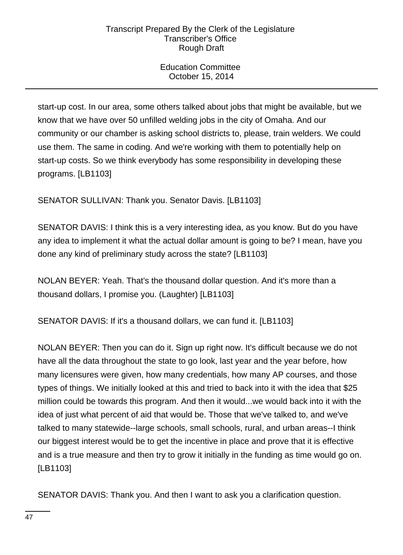Education Committee October 15, 2014

start-up cost. In our area, some others talked about jobs that might be available, but we know that we have over 50 unfilled welding jobs in the city of Omaha. And our community or our chamber is asking school districts to, please, train welders. We could use them. The same in coding. And we're working with them to potentially help on start-up costs. So we think everybody has some responsibility in developing these programs. [LB1103]

SENATOR SULLIVAN: Thank you. Senator Davis. [LB1103]

SENATOR DAVIS: I think this is a very interesting idea, as you know. But do you have any idea to implement it what the actual dollar amount is going to be? I mean, have you done any kind of preliminary study across the state? [LB1103]

NOLAN BEYER: Yeah. That's the thousand dollar question. And it's more than a thousand dollars, I promise you. (Laughter) [LB1103]

SENATOR DAVIS: If it's a thousand dollars, we can fund it. [LB1103]

NOLAN BEYER: Then you can do it. Sign up right now. It's difficult because we do not have all the data throughout the state to go look, last year and the year before, how many licensures were given, how many credentials, how many AP courses, and those types of things. We initially looked at this and tried to back into it with the idea that \$25 million could be towards this program. And then it would...we would back into it with the idea of just what percent of aid that would be. Those that we've talked to, and we've talked to many statewide--large schools, small schools, rural, and urban areas--I think our biggest interest would be to get the incentive in place and prove that it is effective and is a true measure and then try to grow it initially in the funding as time would go on. [LB1103]

SENATOR DAVIS: Thank you. And then I want to ask you a clarification question.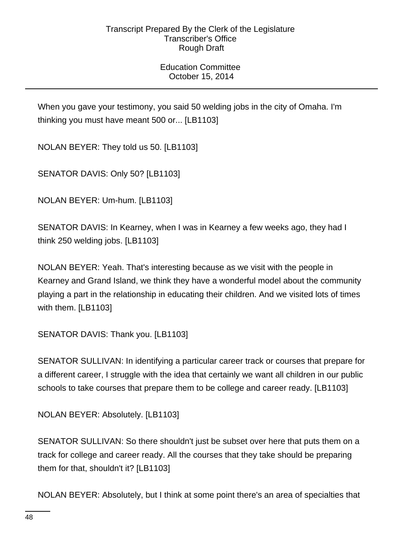Education Committee October 15, 2014

When you gave your testimony, you said 50 welding jobs in the city of Omaha. I'm thinking you must have meant 500 or... [LB1103]

NOLAN BEYER: They told us 50. [LB1103]

SENATOR DAVIS: Only 50? [LB1103]

NOLAN BEYER: Um-hum. [LB1103]

SENATOR DAVIS: In Kearney, when I was in Kearney a few weeks ago, they had I think 250 welding jobs. [LB1103]

NOLAN BEYER: Yeah. That's interesting because as we visit with the people in Kearney and Grand Island, we think they have a wonderful model about the community playing a part in the relationship in educating their children. And we visited lots of times with them. [LB1103]

SENATOR DAVIS: Thank you. [LB1103]

SENATOR SULLIVAN: In identifying a particular career track or courses that prepare for a different career, I struggle with the idea that certainly we want all children in our public schools to take courses that prepare them to be college and career ready. [LB1103]

NOLAN BEYER: Absolutely. [LB1103]

SENATOR SULLIVAN: So there shouldn't just be subset over here that puts them on a track for college and career ready. All the courses that they take should be preparing them for that, shouldn't it? [LB1103]

NOLAN BEYER: Absolutely, but I think at some point there's an area of specialties that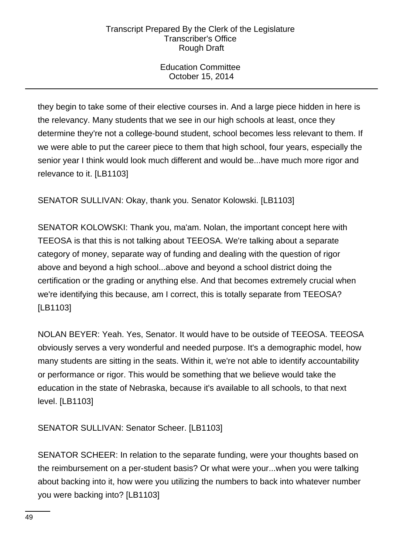Education Committee October 15, 2014

they begin to take some of their elective courses in. And a large piece hidden in here is the relevancy. Many students that we see in our high schools at least, once they determine they're not a college-bound student, school becomes less relevant to them. If we were able to put the career piece to them that high school, four years, especially the senior year I think would look much different and would be...have much more rigor and relevance to it. [LB1103]

SENATOR SULLIVAN: Okay, thank you. Senator Kolowski. [LB1103]

SENATOR KOLOWSKI: Thank you, ma'am. Nolan, the important concept here with TEEOSA is that this is not talking about TEEOSA. We're talking about a separate category of money, separate way of funding and dealing with the question of rigor above and beyond a high school...above and beyond a school district doing the certification or the grading or anything else. And that becomes extremely crucial when we're identifying this because, am I correct, this is totally separate from TEEOSA? [LB1103]

NOLAN BEYER: Yeah. Yes, Senator. It would have to be outside of TEEOSA. TEEOSA obviously serves a very wonderful and needed purpose. It's a demographic model, how many students are sitting in the seats. Within it, we're not able to identify accountability or performance or rigor. This would be something that we believe would take the education in the state of Nebraska, because it's available to all schools, to that next level. [LB1103]

SENATOR SULLIVAN: Senator Scheer. [LB1103]

SENATOR SCHEER: In relation to the separate funding, were your thoughts based on the reimbursement on a per-student basis? Or what were your...when you were talking about backing into it, how were you utilizing the numbers to back into whatever number you were backing into? [LB1103]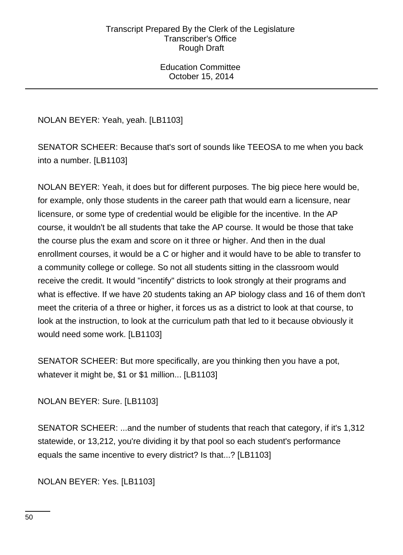Education Committee October 15, 2014

NOLAN BEYER: Yeah, yeah. [LB1103]

SENATOR SCHEER: Because that's sort of sounds like TEEOSA to me when you back into a number. [LB1103]

NOLAN BEYER: Yeah, it does but for different purposes. The big piece here would be, for example, only those students in the career path that would earn a licensure, near licensure, or some type of credential would be eligible for the incentive. In the AP course, it wouldn't be all students that take the AP course. It would be those that take the course plus the exam and score on it three or higher. And then in the dual enrollment courses, it would be a C or higher and it would have to be able to transfer to a community college or college. So not all students sitting in the classroom would receive the credit. It would "incentify" districts to look strongly at their programs and what is effective. If we have 20 students taking an AP biology class and 16 of them don't meet the criteria of a three or higher, it forces us as a district to look at that course, to look at the instruction, to look at the curriculum path that led to it because obviously it would need some work. [LB1103]

SENATOR SCHEER: But more specifically, are you thinking then you have a pot, whatever it might be, \$1 or \$1 million... [LB1103]

NOLAN BEYER: Sure. [LB1103]

SENATOR SCHEER: ...and the number of students that reach that category, if it's 1,312 statewide, or 13,212, you're dividing it by that pool so each student's performance equals the same incentive to every district? Is that...? [LB1103]

NOLAN BEYER: Yes. [LB1103]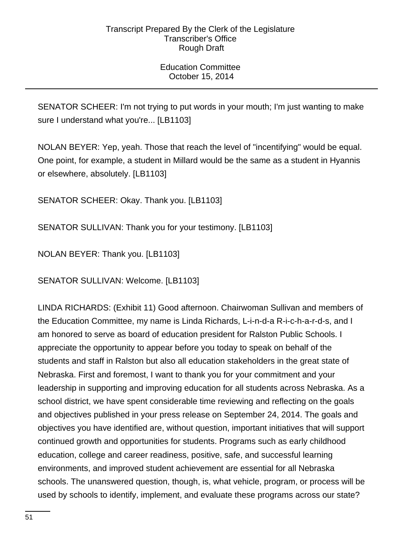Education Committee October 15, 2014

SENATOR SCHEER: I'm not trying to put words in your mouth; I'm just wanting to make sure I understand what you're... [LB1103]

NOLAN BEYER: Yep, yeah. Those that reach the level of "incentifying" would be equal. One point, for example, a student in Millard would be the same as a student in Hyannis or elsewhere, absolutely. [LB1103]

SENATOR SCHEER: Okay. Thank you. [LB1103]

SENATOR SULLIVAN: Thank you for your testimony. [LB1103]

NOLAN BEYER: Thank you. [LB1103]

SENATOR SULLIVAN: Welcome. [LB1103]

LINDA RICHARDS: (Exhibit 11) Good afternoon. Chairwoman Sullivan and members of the Education Committee, my name is Linda Richards, L-i-n-d-a R-i-c-h-a-r-d-s, and I am honored to serve as board of education president for Ralston Public Schools. I appreciate the opportunity to appear before you today to speak on behalf of the students and staff in Ralston but also all education stakeholders in the great state of Nebraska. First and foremost, I want to thank you for your commitment and your leadership in supporting and improving education for all students across Nebraska. As a school district, we have spent considerable time reviewing and reflecting on the goals and objectives published in your press release on September 24, 2014. The goals and objectives you have identified are, without question, important initiatives that will support continued growth and opportunities for students. Programs such as early childhood education, college and career readiness, positive, safe, and successful learning environments, and improved student achievement are essential for all Nebraska schools. The unanswered question, though, is, what vehicle, program, or process will be used by schools to identify, implement, and evaluate these programs across our state?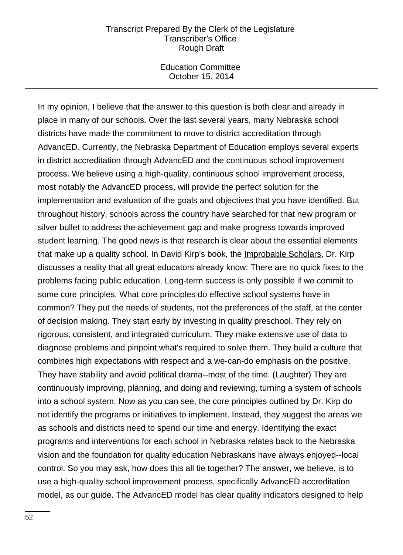Education Committee October 15, 2014

In my opinion, I believe that the answer to this question is both clear and already in place in many of our schools. Over the last several years, many Nebraska school districts have made the commitment to move to district accreditation through AdvancED. Currently, the Nebraska Department of Education employs several experts in district accreditation through AdvancED and the continuous school improvement process. We believe using a high-quality, continuous school improvement process, most notably the AdvancED process, will provide the perfect solution for the implementation and evaluation of the goals and objectives that you have identified. But throughout history, schools across the country have searched for that new program or silver bullet to address the achievement gap and make progress towards improved student learning. The good news is that research is clear about the essential elements that make up a quality school. In David Kirp's book, the Improbable Scholars, Dr. Kirp discusses a reality that all great educators already know: There are no quick fixes to the problems facing public education. Long-term success is only possible if we commit to some core principles. What core principles do effective school systems have in common? They put the needs of students, not the preferences of the staff, at the center of decision making. They start early by investing in quality preschool. They rely on rigorous, consistent, and integrated curriculum. They make extensive use of data to diagnose problems and pinpoint what's required to solve them. They build a culture that combines high expectations with respect and a we-can-do emphasis on the positive. They have stability and avoid political drama--most of the time. (Laughter) They are continuously improving, planning, and doing and reviewing, turning a system of schools into a school system. Now as you can see, the core principles outlined by Dr. Kirp do not identify the programs or initiatives to implement. Instead, they suggest the areas we as schools and districts need to spend our time and energy. Identifying the exact programs and interventions for each school in Nebraska relates back to the Nebraska vision and the foundation for quality education Nebraskans have always enjoyed--local control. So you may ask, how does this all tie together? The answer, we believe, is to use a high-quality school improvement process, specifically AdvancED accreditation model, as our guide. The AdvancED model has clear quality indicators designed to help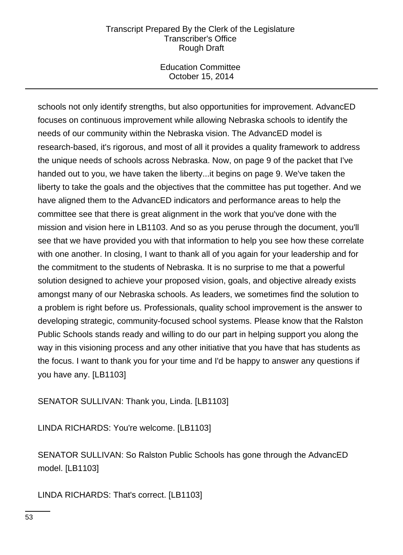Education Committee October 15, 2014

schools not only identify strengths, but also opportunities for improvement. AdvancED focuses on continuous improvement while allowing Nebraska schools to identify the needs of our community within the Nebraska vision. The AdvancED model is research-based, it's rigorous, and most of all it provides a quality framework to address the unique needs of schools across Nebraska. Now, on page 9 of the packet that I've handed out to you, we have taken the liberty...it begins on page 9. We've taken the liberty to take the goals and the objectives that the committee has put together. And we have aligned them to the AdvancED indicators and performance areas to help the committee see that there is great alignment in the work that you've done with the mission and vision here in LB1103. And so as you peruse through the document, you'll see that we have provided you with that information to help you see how these correlate with one another. In closing, I want to thank all of you again for your leadership and for the commitment to the students of Nebraska. It is no surprise to me that a powerful solution designed to achieve your proposed vision, goals, and objective already exists amongst many of our Nebraska schools. As leaders, we sometimes find the solution to a problem is right before us. Professionals, quality school improvement is the answer to developing strategic, community-focused school systems. Please know that the Ralston Public Schools stands ready and willing to do our part in helping support you along the way in this visioning process and any other initiative that you have that has students as the focus. I want to thank you for your time and I'd be happy to answer any questions if you have any. [LB1103]

SENATOR SULLIVAN: Thank you, Linda. [LB1103]

LINDA RICHARDS: You're welcome. [LB1103]

SENATOR SULLIVAN: So Ralston Public Schools has gone through the AdvancED model. [LB1103]

LINDA RICHARDS: That's correct. [LB1103]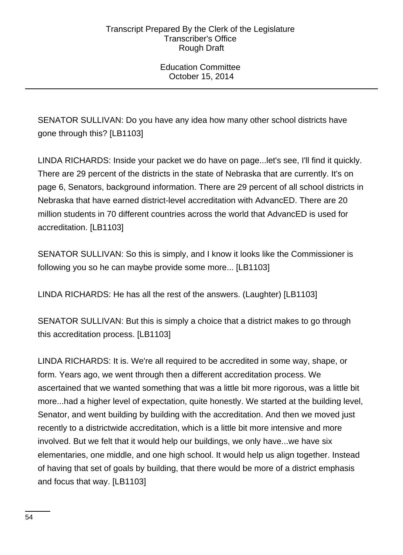Education Committee October 15, 2014

SENATOR SULLIVAN: Do you have any idea how many other school districts have gone through this? [LB1103]

LINDA RICHARDS: Inside your packet we do have on page...let's see, I'll find it quickly. There are 29 percent of the districts in the state of Nebraska that are currently. It's on page 6, Senators, background information. There are 29 percent of all school districts in Nebraska that have earned district-level accreditation with AdvancED. There are 20 million students in 70 different countries across the world that AdvancED is used for accreditation. [LB1103]

SENATOR SULLIVAN: So this is simply, and I know it looks like the Commissioner is following you so he can maybe provide some more... [LB1103]

LINDA RICHARDS: He has all the rest of the answers. (Laughter) [LB1103]

SENATOR SULLIVAN: But this is simply a choice that a district makes to go through this accreditation process. [LB1103]

LINDA RICHARDS: It is. We're all required to be accredited in some way, shape, or form. Years ago, we went through then a different accreditation process. We ascertained that we wanted something that was a little bit more rigorous, was a little bit more...had a higher level of expectation, quite honestly. We started at the building level, Senator, and went building by building with the accreditation. And then we moved just recently to a districtwide accreditation, which is a little bit more intensive and more involved. But we felt that it would help our buildings, we only have...we have six elementaries, one middle, and one high school. It would help us align together. Instead of having that set of goals by building, that there would be more of a district emphasis and focus that way. [LB1103]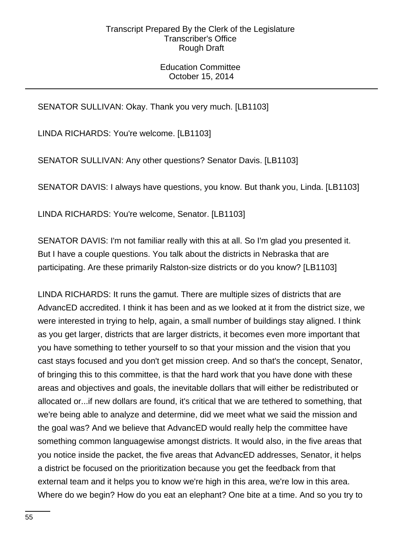# Education Committee October 15, 2014

# SENATOR SULLIVAN: Okay. Thank you very much. [LB1103]

LINDA RICHARDS: You're welcome. [LB1103]

SENATOR SULLIVAN: Any other questions? Senator Davis. [LB1103]

SENATOR DAVIS: I always have questions, you know. But thank you, Linda. [LB1103]

LINDA RICHARDS: You're welcome, Senator. [LB1103]

SENATOR DAVIS: I'm not familiar really with this at all. So I'm glad you presented it. But I have a couple questions. You talk about the districts in Nebraska that are participating. Are these primarily Ralston-size districts or do you know? [LB1103]

LINDA RICHARDS: It runs the gamut. There are multiple sizes of districts that are AdvancED accredited. I think it has been and as we looked at it from the district size, we were interested in trying to help, again, a small number of buildings stay aligned. I think as you get larger, districts that are larger districts, it becomes even more important that you have something to tether yourself to so that your mission and the vision that you cast stays focused and you don't get mission creep. And so that's the concept, Senator, of bringing this to this committee, is that the hard work that you have done with these areas and objectives and goals, the inevitable dollars that will either be redistributed or allocated or...if new dollars are found, it's critical that we are tethered to something, that we're being able to analyze and determine, did we meet what we said the mission and the goal was? And we believe that AdvancED would really help the committee have something common languagewise amongst districts. It would also, in the five areas that you notice inside the packet, the five areas that AdvancED addresses, Senator, it helps a district be focused on the prioritization because you get the feedback from that external team and it helps you to know we're high in this area, we're low in this area. Where do we begin? How do you eat an elephant? One bite at a time. And so you try to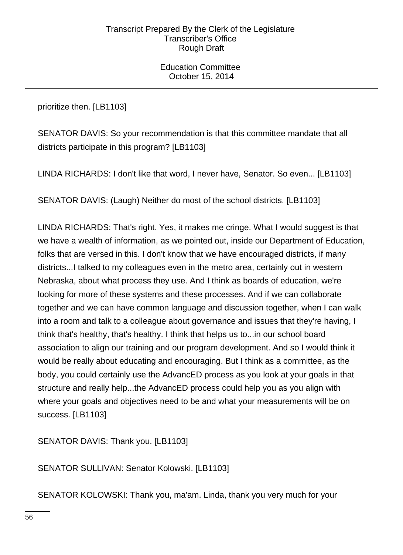Education Committee October 15, 2014

prioritize then. [LB1103]

SENATOR DAVIS: So your recommendation is that this committee mandate that all districts participate in this program? [LB1103]

LINDA RICHARDS: I don't like that word, I never have, Senator. So even... [LB1103]

SENATOR DAVIS: (Laugh) Neither do most of the school districts. [LB1103]

LINDA RICHARDS: That's right. Yes, it makes me cringe. What I would suggest is that we have a wealth of information, as we pointed out, inside our Department of Education, folks that are versed in this. I don't know that we have encouraged districts, if many districts...I talked to my colleagues even in the metro area, certainly out in western Nebraska, about what process they use. And I think as boards of education, we're looking for more of these systems and these processes. And if we can collaborate together and we can have common language and discussion together, when I can walk into a room and talk to a colleague about governance and issues that they're having, I think that's healthy, that's healthy. I think that helps us to...in our school board association to align our training and our program development. And so I would think it would be really about educating and encouraging. But I think as a committee, as the body, you could certainly use the AdvancED process as you look at your goals in that structure and really help...the AdvancED process could help you as you align with where your goals and objectives need to be and what your measurements will be on success. [LB1103]

SENATOR DAVIS: Thank you. [LB1103]

SENATOR SULLIVAN: Senator Kolowski. [LB1103]

SENATOR KOLOWSKI: Thank you, ma'am. Linda, thank you very much for your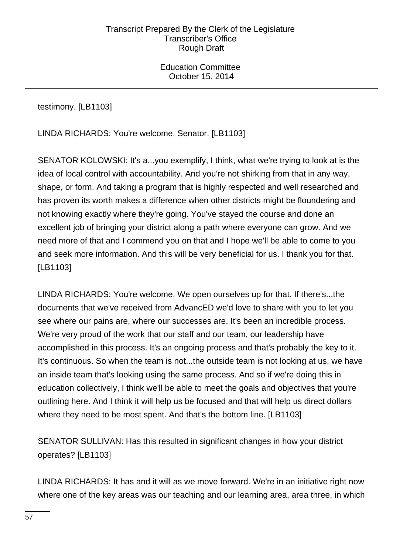Education Committee October 15, 2014

testimony. [LB1103]

LINDA RICHARDS: You're welcome, Senator. [LB1103]

SENATOR KOLOWSKI: It's a...you exemplify, I think, what we're trying to look at is the idea of local control with accountability. And you're not shirking from that in any way, shape, or form. And taking a program that is highly respected and well researched and has proven its worth makes a difference when other districts might be floundering and not knowing exactly where they're going. You've stayed the course and done an excellent job of bringing your district along a path where everyone can grow. And we need more of that and I commend you on that and I hope we'll be able to come to you and seek more information. And this will be very beneficial for us. I thank you for that. [LB1103]

LINDA RICHARDS: You're welcome. We open ourselves up for that. If there's...the documents that we've received from AdvancED we'd love to share with you to let you see where our pains are, where our successes are. It's been an incredible process. We're very proud of the work that our staff and our team, our leadership have accomplished in this process. It's an ongoing process and that's probably the key to it. It's continuous. So when the team is not...the outside team is not looking at us, we have an inside team that's looking using the same process. And so if we're doing this in education collectively, I think we'll be able to meet the goals and objectives that you're outlining here. And I think it will help us be focused and that will help us direct dollars where they need to be most spent. And that's the bottom line. [LB1103]

SENATOR SULLIVAN: Has this resulted in significant changes in how your district operates? [LB1103]

LINDA RICHARDS: It has and it will as we move forward. We're in an initiative right now where one of the key areas was our teaching and our learning area, area three, in which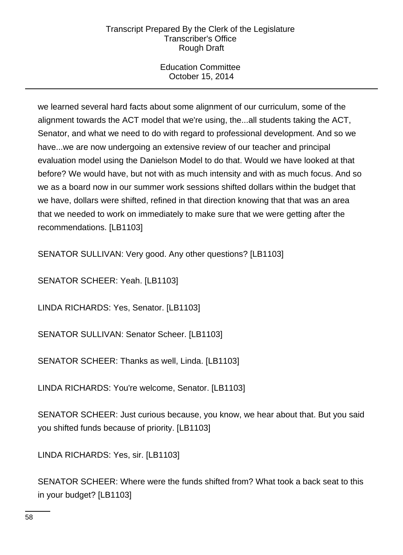Education Committee October 15, 2014

we learned several hard facts about some alignment of our curriculum, some of the alignment towards the ACT model that we're using, the...all students taking the ACT, Senator, and what we need to do with regard to professional development. And so we have...we are now undergoing an extensive review of our teacher and principal evaluation model using the Danielson Model to do that. Would we have looked at that before? We would have, but not with as much intensity and with as much focus. And so we as a board now in our summer work sessions shifted dollars within the budget that we have, dollars were shifted, refined in that direction knowing that that was an area that we needed to work on immediately to make sure that we were getting after the recommendations. [LB1103]

SENATOR SULLIVAN: Very good. Any other questions? [LB1103]

SENATOR SCHEER: Yeah. [LB1103]

LINDA RICHARDS: Yes, Senator. [LB1103]

SENATOR SULLIVAN: Senator Scheer. [LB1103]

SENATOR SCHEER: Thanks as well, Linda. [LB1103]

LINDA RICHARDS: You're welcome, Senator. [LB1103]

SENATOR SCHEER: Just curious because, you know, we hear about that. But you said you shifted funds because of priority. [LB1103]

LINDA RICHARDS: Yes, sir. [LB1103]

SENATOR SCHEER: Where were the funds shifted from? What took a back seat to this in your budget? [LB1103]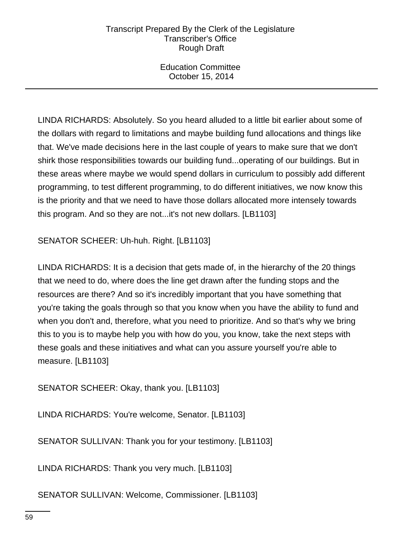Education Committee October 15, 2014

LINDA RICHARDS: Absolutely. So you heard alluded to a little bit earlier about some of the dollars with regard to limitations and maybe building fund allocations and things like that. We've made decisions here in the last couple of years to make sure that we don't shirk those responsibilities towards our building fund...operating of our buildings. But in these areas where maybe we would spend dollars in curriculum to possibly add different programming, to test different programming, to do different initiatives, we now know this is the priority and that we need to have those dollars allocated more intensely towards this program. And so they are not...it's not new dollars. [LB1103]

SENATOR SCHEER: Uh-huh. Right. [LB1103]

LINDA RICHARDS: It is a decision that gets made of, in the hierarchy of the 20 things that we need to do, where does the line get drawn after the funding stops and the resources are there? And so it's incredibly important that you have something that you're taking the goals through so that you know when you have the ability to fund and when you don't and, therefore, what you need to prioritize. And so that's why we bring this to you is to maybe help you with how do you, you know, take the next steps with these goals and these initiatives and what can you assure yourself you're able to measure. [LB1103]

SENATOR SCHEER: Okay, thank you. [LB1103]

LINDA RICHARDS: You're welcome, Senator. [LB1103]

SENATOR SULLIVAN: Thank you for your testimony. [LB1103]

LINDA RICHARDS: Thank you very much. [LB1103]

SENATOR SULLIVAN: Welcome, Commissioner. [LB1103]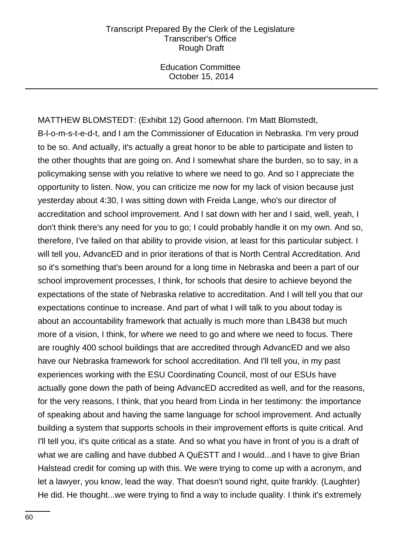Education Committee October 15, 2014

MATTHEW BLOMSTEDT: (Exhibit 12) Good afternoon. I'm Matt Blomstedt, B-l-o-m-s-t-e-d-t, and I am the Commissioner of Education in Nebraska. I'm very proud to be so. And actually, it's actually a great honor to be able to participate and listen to the other thoughts that are going on. And I somewhat share the burden, so to say, in a policymaking sense with you relative to where we need to go. And so I appreciate the opportunity to listen. Now, you can criticize me now for my lack of vision because just yesterday about 4:30, I was sitting down with Freida Lange, who's our director of accreditation and school improvement. And I sat down with her and I said, well, yeah, I don't think there's any need for you to go; I could probably handle it on my own. And so, therefore, I've failed on that ability to provide vision, at least for this particular subject. I will tell you, AdvancED and in prior iterations of that is North Central Accreditation. And so it's something that's been around for a long time in Nebraska and been a part of our school improvement processes, I think, for schools that desire to achieve beyond the expectations of the state of Nebraska relative to accreditation. And I will tell you that our expectations continue to increase. And part of what I will talk to you about today is about an accountability framework that actually is much more than LB438 but much more of a vision, I think, for where we need to go and where we need to focus. There are roughly 400 school buildings that are accredited through AdvancED and we also have our Nebraska framework for school accreditation. And I'll tell you, in my past experiences working with the ESU Coordinating Council, most of our ESUs have actually gone down the path of being AdvancED accredited as well, and for the reasons, for the very reasons, I think, that you heard from Linda in her testimony: the importance of speaking about and having the same language for school improvement. And actually building a system that supports schools in their improvement efforts is quite critical. And I'll tell you, it's quite critical as a state. And so what you have in front of you is a draft of what we are calling and have dubbed A QuESTT and I would...and I have to give Brian Halstead credit for coming up with this. We were trying to come up with a acronym, and let a lawyer, you know, lead the way. That doesn't sound right, quite frankly. (Laughter) He did. He thought...we were trying to find a way to include quality. I think it's extremely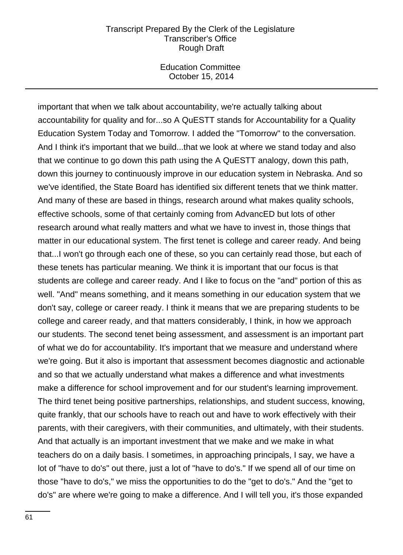Education Committee October 15, 2014

important that when we talk about accountability, we're actually talking about accountability for quality and for...so A QuESTT stands for Accountability for a Quality Education System Today and Tomorrow. I added the "Tomorrow" to the conversation. And I think it's important that we build...that we look at where we stand today and also that we continue to go down this path using the A QuESTT analogy, down this path, down this journey to continuously improve in our education system in Nebraska. And so we've identified, the State Board has identified six different tenets that we think matter. And many of these are based in things, research around what makes quality schools, effective schools, some of that certainly coming from AdvancED but lots of other research around what really matters and what we have to invest in, those things that matter in our educational system. The first tenet is college and career ready. And being that...I won't go through each one of these, so you can certainly read those, but each of these tenets has particular meaning. We think it is important that our focus is that students are college and career ready. And I like to focus on the "and" portion of this as well. "And" means something, and it means something in our education system that we don't say, college or career ready. I think it means that we are preparing students to be college and career ready, and that matters considerably, I think, in how we approach our students. The second tenet being assessment, and assessment is an important part of what we do for accountability. It's important that we measure and understand where we're going. But it also is important that assessment becomes diagnostic and actionable and so that we actually understand what makes a difference and what investments make a difference for school improvement and for our student's learning improvement. The third tenet being positive partnerships, relationships, and student success, knowing, quite frankly, that our schools have to reach out and have to work effectively with their parents, with their caregivers, with their communities, and ultimately, with their students. And that actually is an important investment that we make and we make in what teachers do on a daily basis. I sometimes, in approaching principals, I say, we have a lot of "have to do's" out there, just a lot of "have to do's." If we spend all of our time on those "have to do's," we miss the opportunities to do the "get to do's." And the "get to do's" are where we're going to make a difference. And I will tell you, it's those expanded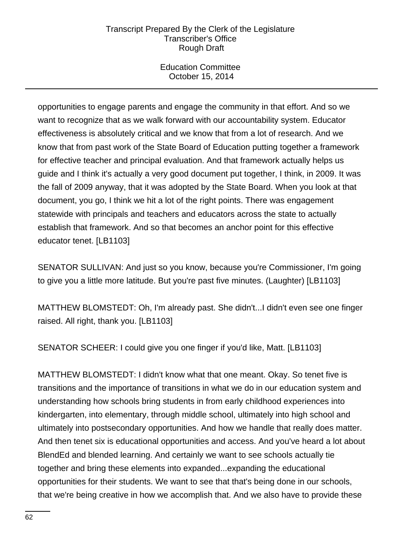Education Committee October 15, 2014

opportunities to engage parents and engage the community in that effort. And so we want to recognize that as we walk forward with our accountability system. Educator effectiveness is absolutely critical and we know that from a lot of research. And we know that from past work of the State Board of Education putting together a framework for effective teacher and principal evaluation. And that framework actually helps us guide and I think it's actually a very good document put together, I think, in 2009. It was the fall of 2009 anyway, that it was adopted by the State Board. When you look at that document, you go, I think we hit a lot of the right points. There was engagement statewide with principals and teachers and educators across the state to actually establish that framework. And so that becomes an anchor point for this effective educator tenet. [LB1103]

SENATOR SULLIVAN: And just so you know, because you're Commissioner, I'm going to give you a little more latitude. But you're past five minutes. (Laughter) [LB1103]

MATTHEW BLOMSTEDT: Oh, I'm already past. She didn't...I didn't even see one finger raised. All right, thank you. [LB1103]

SENATOR SCHEER: I could give you one finger if you'd like, Matt. [LB1103]

MATTHEW BLOMSTEDT: I didn't know what that one meant. Okay. So tenet five is transitions and the importance of transitions in what we do in our education system and understanding how schools bring students in from early childhood experiences into kindergarten, into elementary, through middle school, ultimately into high school and ultimately into postsecondary opportunities. And how we handle that really does matter. And then tenet six is educational opportunities and access. And you've heard a lot about BlendEd and blended learning. And certainly we want to see schools actually tie together and bring these elements into expanded...expanding the educational opportunities for their students. We want to see that that's being done in our schools, that we're being creative in how we accomplish that. And we also have to provide these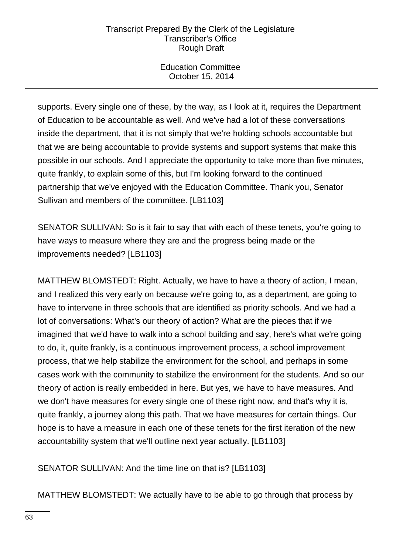Education Committee October 15, 2014

supports. Every single one of these, by the way, as I look at it, requires the Department of Education to be accountable as well. And we've had a lot of these conversations inside the department, that it is not simply that we're holding schools accountable but that we are being accountable to provide systems and support systems that make this possible in our schools. And I appreciate the opportunity to take more than five minutes, quite frankly, to explain some of this, but I'm looking forward to the continued partnership that we've enjoyed with the Education Committee. Thank you, Senator Sullivan and members of the committee. [LB1103]

SENATOR SULLIVAN: So is it fair to say that with each of these tenets, you're going to have ways to measure where they are and the progress being made or the improvements needed? [LB1103]

MATTHEW BLOMSTEDT: Right. Actually, we have to have a theory of action, I mean, and I realized this very early on because we're going to, as a department, are going to have to intervene in three schools that are identified as priority schools. And we had a lot of conversations: What's our theory of action? What are the pieces that if we imagined that we'd have to walk into a school building and say, here's what we're going to do, it, quite frankly, is a continuous improvement process, a school improvement process, that we help stabilize the environment for the school, and perhaps in some cases work with the community to stabilize the environment for the students. And so our theory of action is really embedded in here. But yes, we have to have measures. And we don't have measures for every single one of these right now, and that's why it is, quite frankly, a journey along this path. That we have measures for certain things. Our hope is to have a measure in each one of these tenets for the first iteration of the new accountability system that we'll outline next year actually. [LB1103]

SENATOR SULLIVAN: And the time line on that is? [LB1103]

MATTHEW BLOMSTEDT: We actually have to be able to go through that process by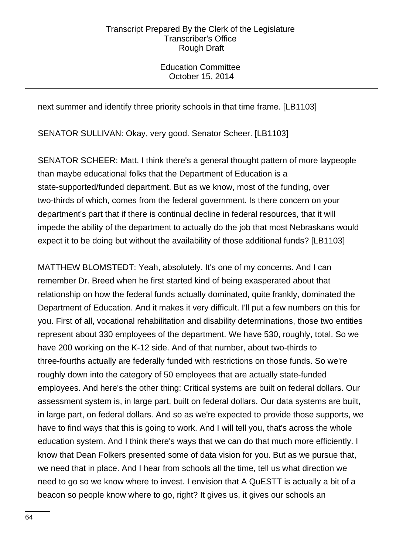Education Committee October 15, 2014

next summer and identify three priority schools in that time frame. [LB1103]

SENATOR SULLIVAN: Okay, very good. Senator Scheer. [LB1103]

SENATOR SCHEER: Matt, I think there's a general thought pattern of more laypeople than maybe educational folks that the Department of Education is a state-supported/funded department. But as we know, most of the funding, over two-thirds of which, comes from the federal government. Is there concern on your department's part that if there is continual decline in federal resources, that it will impede the ability of the department to actually do the job that most Nebraskans would expect it to be doing but without the availability of those additional funds? [LB1103]

MATTHEW BLOMSTEDT: Yeah, absolutely. It's one of my concerns. And I can remember Dr. Breed when he first started kind of being exasperated about that relationship on how the federal funds actually dominated, quite frankly, dominated the Department of Education. And it makes it very difficult. I'll put a few numbers on this for you. First of all, vocational rehabilitation and disability determinations, those two entities represent about 330 employees of the department. We have 530, roughly, total. So we have 200 working on the K-12 side. And of that number, about two-thirds to three-fourths actually are federally funded with restrictions on those funds. So we're roughly down into the category of 50 employees that are actually state-funded employees. And here's the other thing: Critical systems are built on federal dollars. Our assessment system is, in large part, built on federal dollars. Our data systems are built, in large part, on federal dollars. And so as we're expected to provide those supports, we have to find ways that this is going to work. And I will tell you, that's across the whole education system. And I think there's ways that we can do that much more efficiently. I know that Dean Folkers presented some of data vision for you. But as we pursue that, we need that in place. And I hear from schools all the time, tell us what direction we need to go so we know where to invest. I envision that A QuESTT is actually a bit of a beacon so people know where to go, right? It gives us, it gives our schools an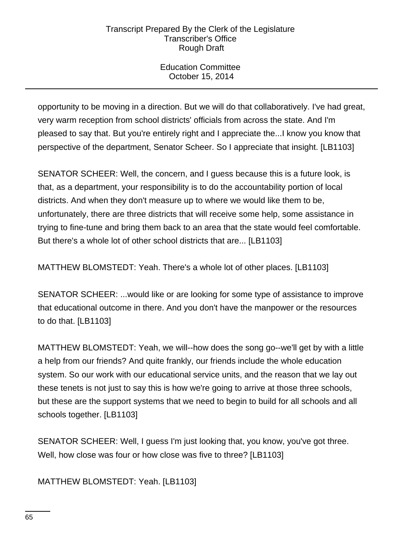Education Committee October 15, 2014

opportunity to be moving in a direction. But we will do that collaboratively. I've had great, very warm reception from school districts' officials from across the state. And I'm pleased to say that. But you're entirely right and I appreciate the...I know you know that perspective of the department, Senator Scheer. So I appreciate that insight. [LB1103]

SENATOR SCHEER: Well, the concern, and I guess because this is a future look, is that, as a department, your responsibility is to do the accountability portion of local districts. And when they don't measure up to where we would like them to be, unfortunately, there are three districts that will receive some help, some assistance in trying to fine-tune and bring them back to an area that the state would feel comfortable. But there's a whole lot of other school districts that are... [LB1103]

MATTHEW BLOMSTEDT: Yeah. There's a whole lot of other places. [LB1103]

SENATOR SCHEER: ...would like or are looking for some type of assistance to improve that educational outcome in there. And you don't have the manpower or the resources to do that. [LB1103]

MATTHEW BLOMSTEDT: Yeah, we will--how does the song go--we'll get by with a little a help from our friends? And quite frankly, our friends include the whole education system. So our work with our educational service units, and the reason that we lay out these tenets is not just to say this is how we're going to arrive at those three schools, but these are the support systems that we need to begin to build for all schools and all schools together. [LB1103]

SENATOR SCHEER: Well, I guess I'm just looking that, you know, you've got three. Well, how close was four or how close was five to three? [LB1103]

MATTHEW BLOMSTEDT: Yeah. [LB1103]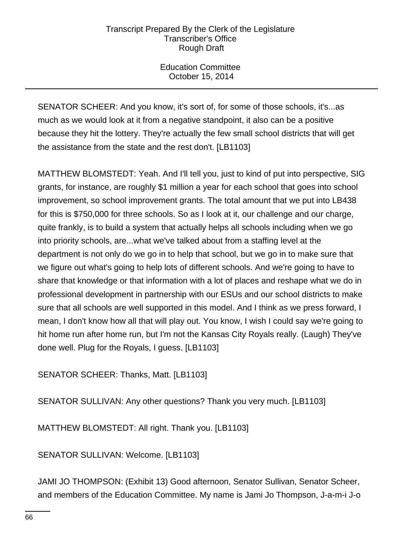Education Committee October 15, 2014

SENATOR SCHEER: And you know, it's sort of, for some of those schools, it's...as much as we would look at it from a negative standpoint, it also can be a positive because they hit the lottery. They're actually the few small school districts that will get the assistance from the state and the rest don't. [LB1103]

MATTHEW BLOMSTEDT: Yeah. And I'll tell you, just to kind of put into perspective, SIG grants, for instance, are roughly \$1 million a year for each school that goes into school improvement, so school improvement grants. The total amount that we put into LB438 for this is \$750,000 for three schools. So as I look at it, our challenge and our charge, quite frankly, is to build a system that actually helps all schools including when we go into priority schools, are...what we've talked about from a staffing level at the department is not only do we go in to help that school, but we go in to make sure that we figure out what's going to help lots of different schools. And we're going to have to share that knowledge or that information with a lot of places and reshape what we do in professional development in partnership with our ESUs and our school districts to make sure that all schools are well supported in this model. And I think as we press forward, I mean, I don't know how all that will play out. You know, I wish I could say we're going to hit home run after home run, but I'm not the Kansas City Royals really. (Laugh) They've done well. Plug for the Royals, I guess. [LB1103]

SENATOR SCHEER: Thanks, Matt. [LB1103]

SENATOR SULLIVAN: Any other questions? Thank you very much. [LB1103]

MATTHEW BLOMSTEDT: All right. Thank you. [LB1103]

SENATOR SULLIVAN: Welcome. [LB1103]

JAMI JO THOMPSON: (Exhibit 13) Good afternoon, Senator Sullivan, Senator Scheer, and members of the Education Committee. My name is Jami Jo Thompson, J-a-m-i J-o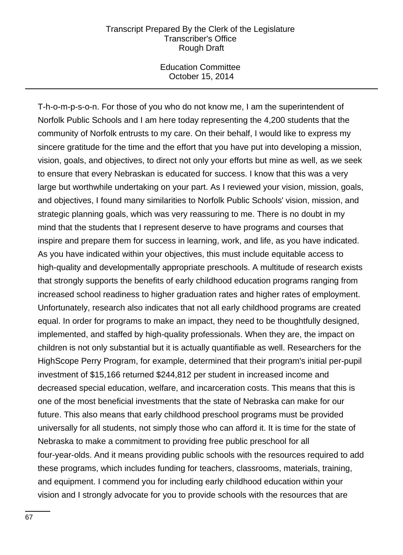Education Committee October 15, 2014

T-h-o-m-p-s-o-n. For those of you who do not know me, I am the superintendent of Norfolk Public Schools and I am here today representing the 4,200 students that the community of Norfolk entrusts to my care. On their behalf, I would like to express my sincere gratitude for the time and the effort that you have put into developing a mission, vision, goals, and objectives, to direct not only your efforts but mine as well, as we seek to ensure that every Nebraskan is educated for success. I know that this was a very large but worthwhile undertaking on your part. As I reviewed your vision, mission, goals, and objectives, I found many similarities to Norfolk Public Schools' vision, mission, and strategic planning goals, which was very reassuring to me. There is no doubt in my mind that the students that I represent deserve to have programs and courses that inspire and prepare them for success in learning, work, and life, as you have indicated. As you have indicated within your objectives, this must include equitable access to high-quality and developmentally appropriate preschools. A multitude of research exists that strongly supports the benefits of early childhood education programs ranging from increased school readiness to higher graduation rates and higher rates of employment. Unfortunately, research also indicates that not all early childhood programs are created equal. In order for programs to make an impact, they need to be thoughtfully designed, implemented, and staffed by high-quality professionals. When they are, the impact on children is not only substantial but it is actually quantifiable as well. Researchers for the HighScope Perry Program, for example, determined that their program's initial per-pupil investment of \$15,166 returned \$244,812 per student in increased income and decreased special education, welfare, and incarceration costs. This means that this is one of the most beneficial investments that the state of Nebraska can make for our future. This also means that early childhood preschool programs must be provided universally for all students, not simply those who can afford it. It is time for the state of Nebraska to make a commitment to providing free public preschool for all four-year-olds. And it means providing public schools with the resources required to add these programs, which includes funding for teachers, classrooms, materials, training, and equipment. I commend you for including early childhood education within your vision and I strongly advocate for you to provide schools with the resources that are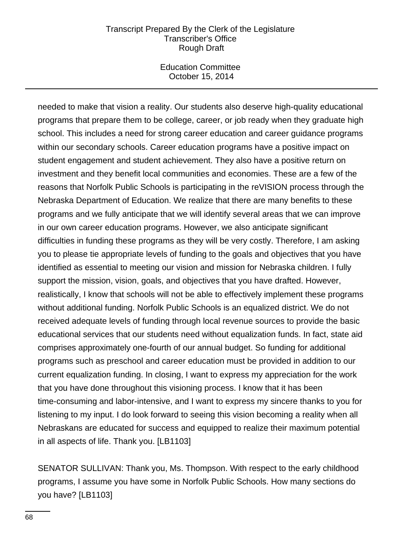Education Committee October 15, 2014

needed to make that vision a reality. Our students also deserve high-quality educational programs that prepare them to be college, career, or job ready when they graduate high school. This includes a need for strong career education and career guidance programs within our secondary schools. Career education programs have a positive impact on student engagement and student achievement. They also have a positive return on investment and they benefit local communities and economies. These are a few of the reasons that Norfolk Public Schools is participating in the reVISION process through the Nebraska Department of Education. We realize that there are many benefits to these programs and we fully anticipate that we will identify several areas that we can improve in our own career education programs. However, we also anticipate significant difficulties in funding these programs as they will be very costly. Therefore, I am asking you to please tie appropriate levels of funding to the goals and objectives that you have identified as essential to meeting our vision and mission for Nebraska children. I fully support the mission, vision, goals, and objectives that you have drafted. However, realistically, I know that schools will not be able to effectively implement these programs without additional funding. Norfolk Public Schools is an equalized district. We do not received adequate levels of funding through local revenue sources to provide the basic educational services that our students need without equalization funds. In fact, state aid comprises approximately one-fourth of our annual budget. So funding for additional programs such as preschool and career education must be provided in addition to our current equalization funding. In closing, I want to express my appreciation for the work that you have done throughout this visioning process. I know that it has been time-consuming and labor-intensive, and I want to express my sincere thanks to you for listening to my input. I do look forward to seeing this vision becoming a reality when all Nebraskans are educated for success and equipped to realize their maximum potential in all aspects of life. Thank you. [LB1103]

SENATOR SULLIVAN: Thank you, Ms. Thompson. With respect to the early childhood programs, I assume you have some in Norfolk Public Schools. How many sections do you have? [LB1103]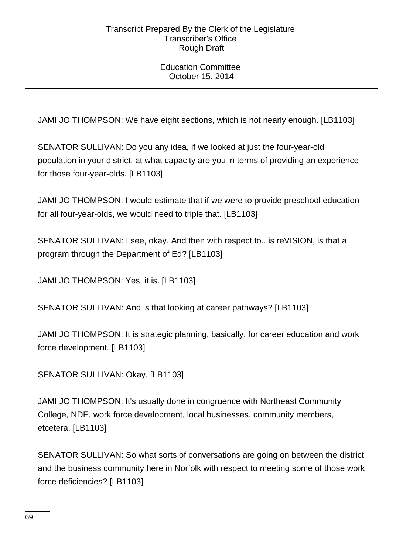Education Committee October 15, 2014

JAMI JO THOMPSON: We have eight sections, which is not nearly enough. [LB1103]

SENATOR SULLIVAN: Do you any idea, if we looked at just the four-year-old population in your district, at what capacity are you in terms of providing an experience for those four-year-olds. [LB1103]

JAMI JO THOMPSON: I would estimate that if we were to provide preschool education for all four-year-olds, we would need to triple that. [LB1103]

SENATOR SULLIVAN: I see, okay. And then with respect to...is reVISION, is that a program through the Department of Ed? [LB1103]

JAMI JO THOMPSON: Yes, it is. [LB1103]

SENATOR SULLIVAN: And is that looking at career pathways? [LB1103]

JAMI JO THOMPSON: It is strategic planning, basically, for career education and work force development. [LB1103]

SENATOR SULLIVAN: Okay. [LB1103]

JAMI JO THOMPSON: It's usually done in congruence with Northeast Community College, NDE, work force development, local businesses, community members, etcetera. [LB1103]

SENATOR SULLIVAN: So what sorts of conversations are going on between the district and the business community here in Norfolk with respect to meeting some of those work force deficiencies? [LB1103]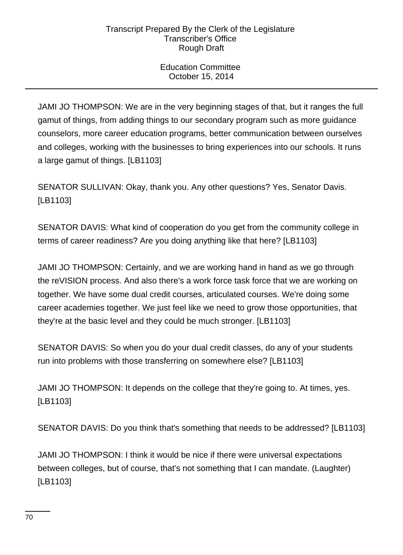Education Committee October 15, 2014

JAMI JO THOMPSON: We are in the very beginning stages of that, but it ranges the full gamut of things, from adding things to our secondary program such as more guidance counselors, more career education programs, better communication between ourselves and colleges, working with the businesses to bring experiences into our schools. It runs a large gamut of things. [LB1103]

SENATOR SULLIVAN: Okay, thank you. Any other questions? Yes, Senator Davis. [LB1103]

SENATOR DAVIS: What kind of cooperation do you get from the community college in terms of career readiness? Are you doing anything like that here? [LB1103]

JAMI JO THOMPSON: Certainly, and we are working hand in hand as we go through the reVISION process. And also there's a work force task force that we are working on together. We have some dual credit courses, articulated courses. We're doing some career academies together. We just feel like we need to grow those opportunities, that they're at the basic level and they could be much stronger. [LB1103]

SENATOR DAVIS: So when you do your dual credit classes, do any of your students run into problems with those transferring on somewhere else? [LB1103]

JAMI JO THOMPSON: It depends on the college that they're going to. At times, yes. [LB1103]

SENATOR DAVIS: Do you think that's something that needs to be addressed? [LB1103]

JAMI JO THOMPSON: I think it would be nice if there were universal expectations between colleges, but of course, that's not something that I can mandate. (Laughter) [LB1103]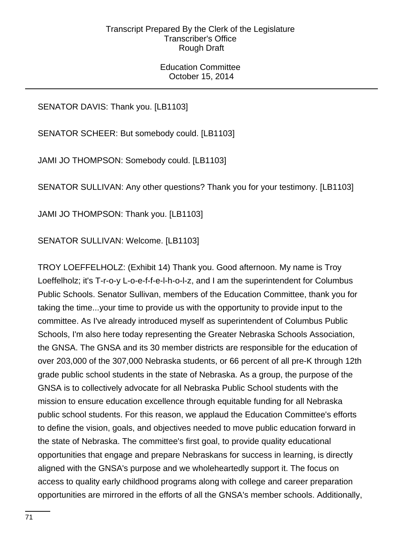Education Committee October 15, 2014

SENATOR DAVIS: Thank you. [LB1103]

SENATOR SCHEER: But somebody could. [LB1103]

JAMI JO THOMPSON: Somebody could. [LB1103]

SENATOR SULLIVAN: Any other questions? Thank you for your testimony. [LB1103]

JAMI JO THOMPSON: Thank you. [LB1103]

SENATOR SULLIVAN: Welcome. [LB1103]

TROY LOEFFELHOLZ: (Exhibit 14) Thank you. Good afternoon. My name is Troy Loeffelholz; it's T-r-o-y L-o-e-f-f-e-l-h-o-l-z, and I am the superintendent for Columbus Public Schools. Senator Sullivan, members of the Education Committee, thank you for taking the time...your time to provide us with the opportunity to provide input to the committee. As I've already introduced myself as superintendent of Columbus Public Schools, I'm also here today representing the Greater Nebraska Schools Association, the GNSA. The GNSA and its 30 member districts are responsible for the education of over 203,000 of the 307,000 Nebraska students, or 66 percent of all pre-K through 12th grade public school students in the state of Nebraska. As a group, the purpose of the GNSA is to collectively advocate for all Nebraska Public School students with the mission to ensure education excellence through equitable funding for all Nebraska public school students. For this reason, we applaud the Education Committee's efforts to define the vision, goals, and objectives needed to move public education forward in the state of Nebraska. The committee's first goal, to provide quality educational opportunities that engage and prepare Nebraskans for success in learning, is directly aligned with the GNSA's purpose and we wholeheartedly support it. The focus on access to quality early childhood programs along with college and career preparation opportunities are mirrored in the efforts of all the GNSA's member schools. Additionally,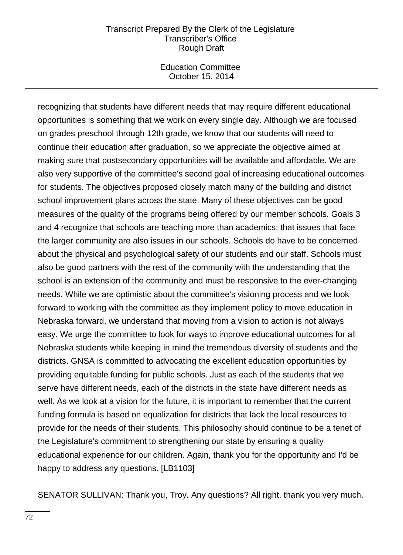Education Committee October 15, 2014

recognizing that students have different needs that may require different educational opportunities is something that we work on every single day. Although we are focused on grades preschool through 12th grade, we know that our students will need to continue their education after graduation, so we appreciate the objective aimed at making sure that postsecondary opportunities will be available and affordable. We are also very supportive of the committee's second goal of increasing educational outcomes for students. The objectives proposed closely match many of the building and district school improvement plans across the state. Many of these objectives can be good measures of the quality of the programs being offered by our member schools. Goals 3 and 4 recognize that schools are teaching more than academics; that issues that face the larger community are also issues in our schools. Schools do have to be concerned about the physical and psychological safety of our students and our staff. Schools must also be good partners with the rest of the community with the understanding that the school is an extension of the community and must be responsive to the ever-changing needs. While we are optimistic about the committee's visioning process and we look forward to working with the committee as they implement policy to move education in Nebraska forward, we understand that moving from a vision to action is not always easy. We urge the committee to look for ways to improve educational outcomes for all Nebraska students while keeping in mind the tremendous diversity of students and the districts. GNSA is committed to advocating the excellent education opportunities by providing equitable funding for public schools. Just as each of the students that we serve have different needs, each of the districts in the state have different needs as well. As we look at a vision for the future, it is important to remember that the current funding formula is based on equalization for districts that lack the local resources to provide for the needs of their students. This philosophy should continue to be a tenet of the Legislature's commitment to strengthening our state by ensuring a quality educational experience for our children. Again, thank you for the opportunity and I'd be happy to address any questions. [LB1103]

SENATOR SULLIVAN: Thank you, Troy. Any questions? All right, thank you very much.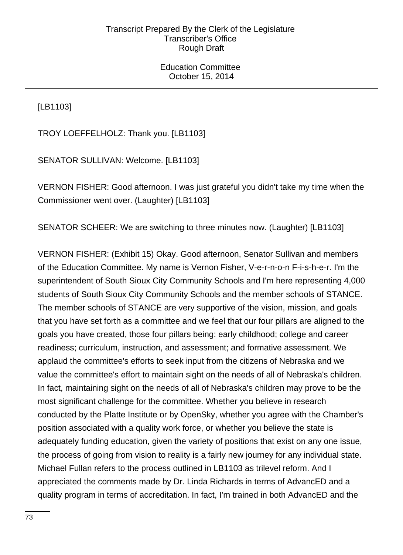Education Committee October 15, 2014

[LB1103]

TROY LOEFFELHOLZ: Thank you. [LB1103]

SENATOR SULLIVAN: Welcome. [LB1103]

VERNON FISHER: Good afternoon. I was just grateful you didn't take my time when the Commissioner went over. (Laughter) [LB1103]

SENATOR SCHEER: We are switching to three minutes now. (Laughter) [LB1103]

VERNON FISHER: (Exhibit 15) Okay. Good afternoon, Senator Sullivan and members of the Education Committee. My name is Vernon Fisher, V-e-r-n-o-n F-i-s-h-e-r. I'm the superintendent of South Sioux City Community Schools and I'm here representing 4,000 students of South Sioux City Community Schools and the member schools of STANCE. The member schools of STANCE are very supportive of the vision, mission, and goals that you have set forth as a committee and we feel that our four pillars are aligned to the goals you have created, those four pillars being: early childhood; college and career readiness; curriculum, instruction, and assessment; and formative assessment. We applaud the committee's efforts to seek input from the citizens of Nebraska and we value the committee's effort to maintain sight on the needs of all of Nebraska's children. In fact, maintaining sight on the needs of all of Nebraska's children may prove to be the most significant challenge for the committee. Whether you believe in research conducted by the Platte Institute or by OpenSky, whether you agree with the Chamber's position associated with a quality work force, or whether you believe the state is adequately funding education, given the variety of positions that exist on any one issue, the process of going from vision to reality is a fairly new journey for any individual state. Michael Fullan refers to the process outlined in LB1103 as trilevel reform. And I appreciated the comments made by Dr. Linda Richards in terms of AdvancED and a quality program in terms of accreditation. In fact, I'm trained in both AdvancED and the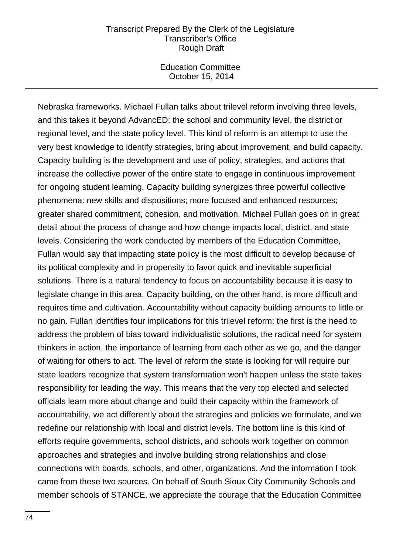Education Committee October 15, 2014

Nebraska frameworks. Michael Fullan talks about trilevel reform involving three levels, and this takes it beyond AdvancED: the school and community level, the district or regional level, and the state policy level. This kind of reform is an attempt to use the very best knowledge to identify strategies, bring about improvement, and build capacity. Capacity building is the development and use of policy, strategies, and actions that increase the collective power of the entire state to engage in continuous improvement for ongoing student learning. Capacity building synergizes three powerful collective phenomena: new skills and dispositions; more focused and enhanced resources; greater shared commitment, cohesion, and motivation. Michael Fullan goes on in great detail about the process of change and how change impacts local, district, and state levels. Considering the work conducted by members of the Education Committee, Fullan would say that impacting state policy is the most difficult to develop because of its political complexity and in propensity to favor quick and inevitable superficial solutions. There is a natural tendency to focus on accountability because it is easy to legislate change in this area. Capacity building, on the other hand, is more difficult and requires time and cultivation. Accountability without capacity building amounts to little or no gain. Fullan identifies four implications for this trilevel reform: the first is the need to address the problem of bias toward individualistic solutions, the radical need for system thinkers in action, the importance of learning from each other as we go, and the danger of waiting for others to act. The level of reform the state is looking for will require our state leaders recognize that system transformation won't happen unless the state takes responsibility for leading the way. This means that the very top elected and selected officials learn more about change and build their capacity within the framework of accountability, we act differently about the strategies and policies we formulate, and we redefine our relationship with local and district levels. The bottom line is this kind of efforts require governments, school districts, and schools work together on common approaches and strategies and involve building strong relationships and close connections with boards, schools, and other, organizations. And the information I took came from these two sources. On behalf of South Sioux City Community Schools and member schools of STANCE, we appreciate the courage that the Education Committee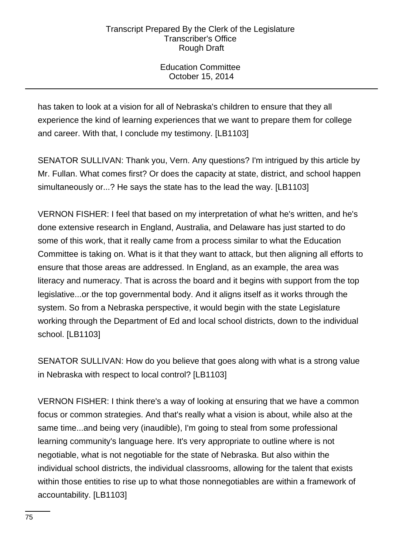Education Committee October 15, 2014

has taken to look at a vision for all of Nebraska's children to ensure that they all experience the kind of learning experiences that we want to prepare them for college and career. With that, I conclude my testimony. [LB1103]

SENATOR SULLIVAN: Thank you, Vern. Any questions? I'm intrigued by this article by Mr. Fullan. What comes first? Or does the capacity at state, district, and school happen simultaneously or...? He says the state has to the lead the way. [LB1103]

VERNON FISHER: I feel that based on my interpretation of what he's written, and he's done extensive research in England, Australia, and Delaware has just started to do some of this work, that it really came from a process similar to what the Education Committee is taking on. What is it that they want to attack, but then aligning all efforts to ensure that those areas are addressed. In England, as an example, the area was literacy and numeracy. That is across the board and it begins with support from the top legislative...or the top governmental body. And it aligns itself as it works through the system. So from a Nebraska perspective, it would begin with the state Legislature working through the Department of Ed and local school districts, down to the individual school. [LB1103]

SENATOR SULLIVAN: How do you believe that goes along with what is a strong value in Nebraska with respect to local control? [LB1103]

VERNON FISHER: I think there's a way of looking at ensuring that we have a common focus or common strategies. And that's really what a vision is about, while also at the same time...and being very (inaudible), I'm going to steal from some professional learning community's language here. It's very appropriate to outline where is not negotiable, what is not negotiable for the state of Nebraska. But also within the individual school districts, the individual classrooms, allowing for the talent that exists within those entities to rise up to what those nonnegotiables are within a framework of accountability. [LB1103]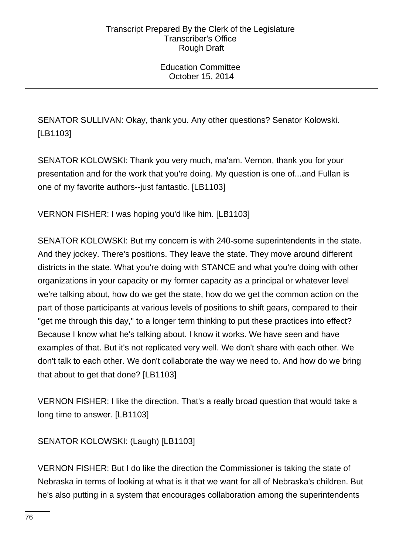SENATOR SULLIVAN: Okay, thank you. Any other questions? Senator Kolowski. [LB1103]

SENATOR KOLOWSKI: Thank you very much, ma'am. Vernon, thank you for your presentation and for the work that you're doing. My question is one of...and Fullan is one of my favorite authors--just fantastic. [LB1103]

VERNON FISHER: I was hoping you'd like him. [LB1103]

SENATOR KOLOWSKI: But my concern is with 240-some superintendents in the state. And they jockey. There's positions. They leave the state. They move around different districts in the state. What you're doing with STANCE and what you're doing with other organizations in your capacity or my former capacity as a principal or whatever level we're talking about, how do we get the state, how do we get the common action on the part of those participants at various levels of positions to shift gears, compared to their "get me through this day," to a longer term thinking to put these practices into effect? Because I know what he's talking about. I know it works. We have seen and have examples of that. But it's not replicated very well. We don't share with each other. We don't talk to each other. We don't collaborate the way we need to. And how do we bring that about to get that done? [LB1103]

VERNON FISHER: I like the direction. That's a really broad question that would take a long time to answer. [LB1103]

SENATOR KOLOWSKI: (Laugh) [LB1103]

VERNON FISHER: But I do like the direction the Commissioner is taking the state of Nebraska in terms of looking at what is it that we want for all of Nebraska's children. But he's also putting in a system that encourages collaboration among the superintendents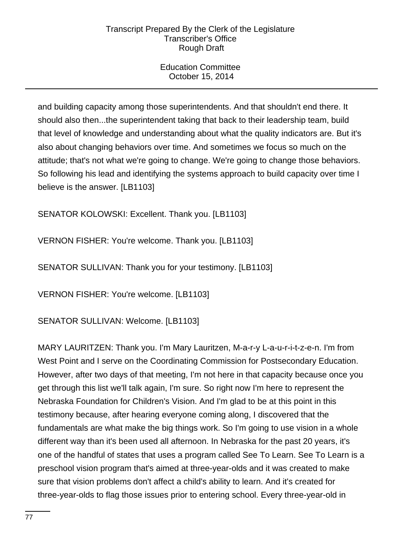Education Committee October 15, 2014

and building capacity among those superintendents. And that shouldn't end there. It should also then...the superintendent taking that back to their leadership team, build that level of knowledge and understanding about what the quality indicators are. But it's also about changing behaviors over time. And sometimes we focus so much on the attitude; that's not what we're going to change. We're going to change those behaviors. So following his lead and identifying the systems approach to build capacity over time I believe is the answer. [LB1103]

SENATOR KOLOWSKI: Excellent. Thank you. [LB1103]

VERNON FISHER: You're welcome. Thank you. [LB1103]

SENATOR SULLIVAN: Thank you for your testimony. [LB1103]

VERNON FISHER: You're welcome. [LB1103]

SENATOR SULLIVAN: Welcome. [LB1103]

MARY LAURITZEN: Thank you. I'm Mary Lauritzen, M-a-r-y L-a-u-r-i-t-z-e-n. I'm from West Point and I serve on the Coordinating Commission for Postsecondary Education. However, after two days of that meeting, I'm not here in that capacity because once you get through this list we'll talk again, I'm sure. So right now I'm here to represent the Nebraska Foundation for Children's Vision. And I'm glad to be at this point in this testimony because, after hearing everyone coming along, I discovered that the fundamentals are what make the big things work. So I'm going to use vision in a whole different way than it's been used all afternoon. In Nebraska for the past 20 years, it's one of the handful of states that uses a program called See To Learn. See To Learn is a preschool vision program that's aimed at three-year-olds and it was created to make sure that vision problems don't affect a child's ability to learn. And it's created for three-year-olds to flag those issues prior to entering school. Every three-year-old in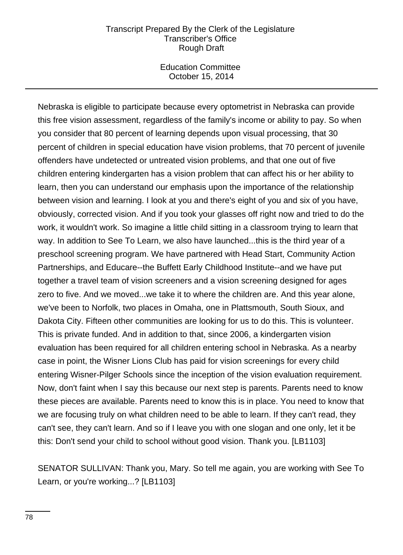Education Committee October 15, 2014

Nebraska is eligible to participate because every optometrist in Nebraska can provide this free vision assessment, regardless of the family's income or ability to pay. So when you consider that 80 percent of learning depends upon visual processing, that 30 percent of children in special education have vision problems, that 70 percent of juvenile offenders have undetected or untreated vision problems, and that one out of five children entering kindergarten has a vision problem that can affect his or her ability to learn, then you can understand our emphasis upon the importance of the relationship between vision and learning. I look at you and there's eight of you and six of you have, obviously, corrected vision. And if you took your glasses off right now and tried to do the work, it wouldn't work. So imagine a little child sitting in a classroom trying to learn that way. In addition to See To Learn, we also have launched...this is the third year of a preschool screening program. We have partnered with Head Start, Community Action Partnerships, and Educare--the Buffett Early Childhood Institute--and we have put together a travel team of vision screeners and a vision screening designed for ages zero to five. And we moved...we take it to where the children are. And this year alone, we've been to Norfolk, two places in Omaha, one in Plattsmouth, South Sioux, and Dakota City. Fifteen other communities are looking for us to do this. This is volunteer. This is private funded. And in addition to that, since 2006, a kindergarten vision evaluation has been required for all children entering school in Nebraska. As a nearby case in point, the Wisner Lions Club has paid for vision screenings for every child entering Wisner-Pilger Schools since the inception of the vision evaluation requirement. Now, don't faint when I say this because our next step is parents. Parents need to know these pieces are available. Parents need to know this is in place. You need to know that we are focusing truly on what children need to be able to learn. If they can't read, they can't see, they can't learn. And so if I leave you with one slogan and one only, let it be this: Don't send your child to school without good vision. Thank you. [LB1103]

SENATOR SULLIVAN: Thank you, Mary. So tell me again, you are working with See To Learn, or you're working...? [LB1103]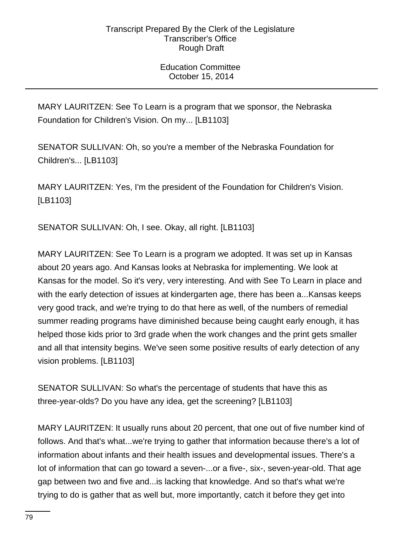MARY LAURITZEN: See To Learn is a program that we sponsor, the Nebraska Foundation for Children's Vision. On my... [LB1103]

SENATOR SULLIVAN: Oh, so you're a member of the Nebraska Foundation for Children's... [LB1103]

MARY LAURITZEN: Yes, I'm the president of the Foundation for Children's Vision. [LB1103]

SENATOR SULLIVAN: Oh, I see. Okay, all right. [LB1103]

MARY LAURITZEN: See To Learn is a program we adopted. It was set up in Kansas about 20 years ago. And Kansas looks at Nebraska for implementing. We look at Kansas for the model. So it's very, very interesting. And with See To Learn in place and with the early detection of issues at kindergarten age, there has been a...Kansas keeps very good track, and we're trying to do that here as well, of the numbers of remedial summer reading programs have diminished because being caught early enough, it has helped those kids prior to 3rd grade when the work changes and the print gets smaller and all that intensity begins. We've seen some positive results of early detection of any vision problems. [LB1103]

SENATOR SULLIVAN: So what's the percentage of students that have this as three-year-olds? Do you have any idea, get the screening? [LB1103]

MARY LAURITZEN: It usually runs about 20 percent, that one out of five number kind of follows. And that's what...we're trying to gather that information because there's a lot of information about infants and their health issues and developmental issues. There's a lot of information that can go toward a seven-...or a five-, six-, seven-year-old. That age gap between two and five and...is lacking that knowledge. And so that's what we're trying to do is gather that as well but, more importantly, catch it before they get into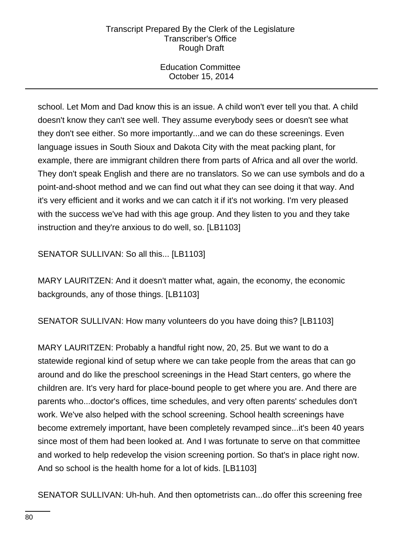Education Committee October 15, 2014

school. Let Mom and Dad know this is an issue. A child won't ever tell you that. A child doesn't know they can't see well. They assume everybody sees or doesn't see what they don't see either. So more importantly...and we can do these screenings. Even language issues in South Sioux and Dakota City with the meat packing plant, for example, there are immigrant children there from parts of Africa and all over the world. They don't speak English and there are no translators. So we can use symbols and do a point-and-shoot method and we can find out what they can see doing it that way. And it's very efficient and it works and we can catch it if it's not working. I'm very pleased with the success we've had with this age group. And they listen to you and they take instruction and they're anxious to do well, so. [LB1103]

SENATOR SULLIVAN: So all this... [LB1103]

MARY LAURITZEN: And it doesn't matter what, again, the economy, the economic backgrounds, any of those things. [LB1103]

SENATOR SULLIVAN: How many volunteers do you have doing this? [LB1103]

MARY LAURITZEN: Probably a handful right now, 20, 25. But we want to do a statewide regional kind of setup where we can take people from the areas that can go around and do like the preschool screenings in the Head Start centers, go where the children are. It's very hard for place-bound people to get where you are. And there are parents who...doctor's offices, time schedules, and very often parents' schedules don't work. We've also helped with the school screening. School health screenings have become extremely important, have been completely revamped since...it's been 40 years since most of them had been looked at. And I was fortunate to serve on that committee and worked to help redevelop the vision screening portion. So that's in place right now. And so school is the health home for a lot of kids. [LB1103]

SENATOR SULLIVAN: Uh-huh. And then optometrists can...do offer this screening free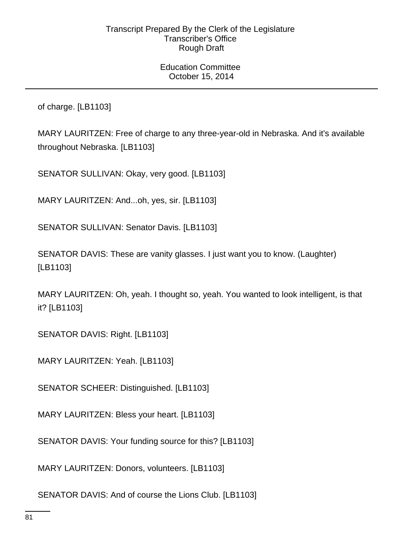of charge. [LB1103]

MARY LAURITZEN: Free of charge to any three-year-old in Nebraska. And it's available throughout Nebraska. [LB1103]

SENATOR SULLIVAN: Okay, very good. [LB1103]

MARY LAURITZEN: And...oh, yes, sir. [LB1103]

SENATOR SULLIVAN: Senator Davis. [LB1103]

SENATOR DAVIS: These are vanity glasses. I just want you to know. (Laughter) [LB1103]

MARY LAURITZEN: Oh, yeah. I thought so, yeah. You wanted to look intelligent, is that it? [LB1103]

SENATOR DAVIS: Right. [LB1103]

MARY LAURITZEN: Yeah. [LB1103]

SENATOR SCHEER: Distinguished. [LB1103]

MARY LAURITZEN: Bless your heart. [LB1103]

SENATOR DAVIS: Your funding source for this? [LB1103]

MARY LAURITZEN: Donors, volunteers. [LB1103]

SENATOR DAVIS: And of course the Lions Club. [LB1103]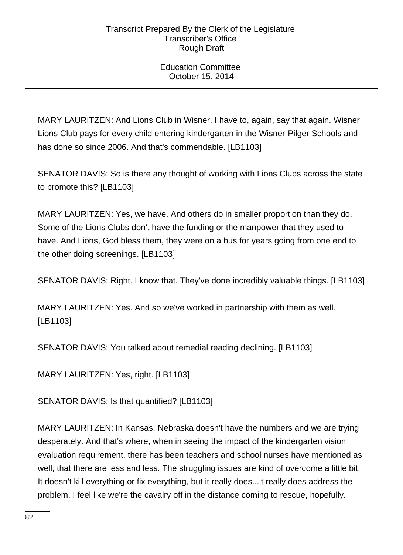Education Committee October 15, 2014

MARY LAURITZEN: And Lions Club in Wisner. I have to, again, say that again. Wisner Lions Club pays for every child entering kindergarten in the Wisner-Pilger Schools and has done so since 2006. And that's commendable. [LB1103]

SENATOR DAVIS: So is there any thought of working with Lions Clubs across the state to promote this? [LB1103]

MARY LAURITZEN: Yes, we have. And others do in smaller proportion than they do. Some of the Lions Clubs don't have the funding or the manpower that they used to have. And Lions, God bless them, they were on a bus for years going from one end to the other doing screenings. [LB1103]

SENATOR DAVIS: Right. I know that. They've done incredibly valuable things. [LB1103]

MARY LAURITZEN: Yes. And so we've worked in partnership with them as well. [LB1103]

SENATOR DAVIS: You talked about remedial reading declining. [LB1103]

MARY LAURITZEN: Yes, right. [LB1103]

SENATOR DAVIS: Is that quantified? [LB1103]

MARY LAURITZEN: In Kansas. Nebraska doesn't have the numbers and we are trying desperately. And that's where, when in seeing the impact of the kindergarten vision evaluation requirement, there has been teachers and school nurses have mentioned as well, that there are less and less. The struggling issues are kind of overcome a little bit. It doesn't kill everything or fix everything, but it really does...it really does address the problem. I feel like we're the cavalry off in the distance coming to rescue, hopefully.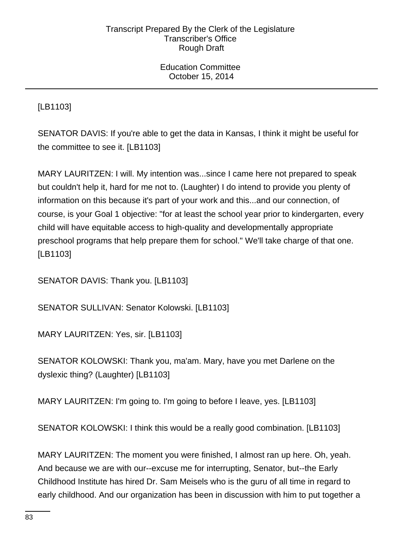Education Committee October 15, 2014

[LB1103]

SENATOR DAVIS: If you're able to get the data in Kansas, I think it might be useful for the committee to see it. [LB1103]

MARY LAURITZEN: I will. My intention was...since I came here not prepared to speak but couldn't help it, hard for me not to. (Laughter) I do intend to provide you plenty of information on this because it's part of your work and this...and our connection, of course, is your Goal 1 objective: "for at least the school year prior to kindergarten, every child will have equitable access to high-quality and developmentally appropriate preschool programs that help prepare them for school." We'll take charge of that one. [LB1103]

SENATOR DAVIS: Thank you. [LB1103]

SENATOR SULLIVAN: Senator Kolowski. [LB1103]

MARY LAURITZEN: Yes, sir. [LB1103]

SENATOR KOLOWSKI: Thank you, ma'am. Mary, have you met Darlene on the dyslexic thing? (Laughter) [LB1103]

MARY LAURITZEN: I'm going to. I'm going to before I leave, yes. [LB1103]

SENATOR KOLOWSKI: I think this would be a really good combination. [LB1103]

MARY LAURITZEN: The moment you were finished, I almost ran up here. Oh, yeah. And because we are with our--excuse me for interrupting, Senator, but--the Early Childhood Institute has hired Dr. Sam Meisels who is the guru of all time in regard to early childhood. And our organization has been in discussion with him to put together a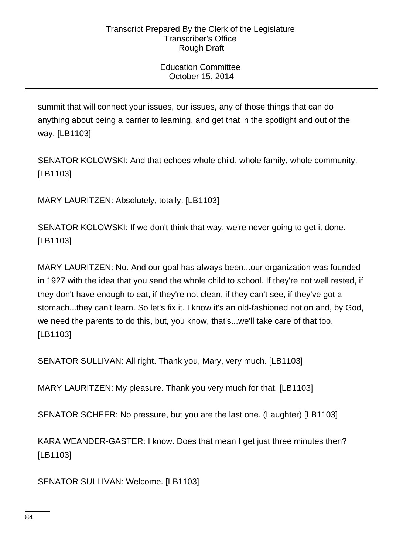summit that will connect your issues, our issues, any of those things that can do anything about being a barrier to learning, and get that in the spotlight and out of the way. [LB1103]

SENATOR KOLOWSKI: And that echoes whole child, whole family, whole community. [LB1103]

MARY LAURITZEN: Absolutely, totally. [LB1103]

SENATOR KOLOWSKI: If we don't think that way, we're never going to get it done. [LB1103]

MARY LAURITZEN: No. And our goal has always been...our organization was founded in 1927 with the idea that you send the whole child to school. If they're not well rested, if they don't have enough to eat, if they're not clean, if they can't see, if they've got a stomach...they can't learn. So let's fix it. I know it's an old-fashioned notion and, by God, we need the parents to do this, but, you know, that's...we'll take care of that too. [LB1103]

SENATOR SULLIVAN: All right. Thank you, Mary, very much. [LB1103]

MARY LAURITZEN: My pleasure. Thank you very much for that. [LB1103]

SENATOR SCHEER: No pressure, but you are the last one. (Laughter) [LB1103]

KARA WEANDER-GASTER: I know. Does that mean I get just three minutes then? [LB1103]

SENATOR SULLIVAN: Welcome. [LB1103]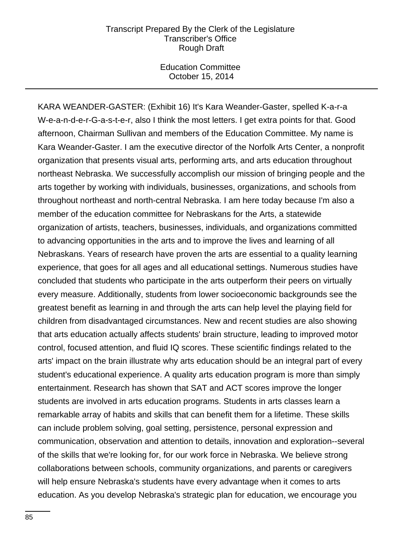Education Committee October 15, 2014

KARA WEANDER-GASTER: (Exhibit 16) It's Kara Weander-Gaster, spelled K-a-r-a W-e-a-n-d-e-r-G-a-s-t-e-r, also I think the most letters. I get extra points for that. Good afternoon, Chairman Sullivan and members of the Education Committee. My name is Kara Weander-Gaster. I am the executive director of the Norfolk Arts Center, a nonprofit organization that presents visual arts, performing arts, and arts education throughout northeast Nebraska. We successfully accomplish our mission of bringing people and the arts together by working with individuals, businesses, organizations, and schools from throughout northeast and north-central Nebraska. I am here today because I'm also a member of the education committee for Nebraskans for the Arts, a statewide organization of artists, teachers, businesses, individuals, and organizations committed to advancing opportunities in the arts and to improve the lives and learning of all Nebraskans. Years of research have proven the arts are essential to a quality learning experience, that goes for all ages and all educational settings. Numerous studies have concluded that students who participate in the arts outperform their peers on virtually every measure. Additionally, students from lower socioeconomic backgrounds see the greatest benefit as learning in and through the arts can help level the playing field for children from disadvantaged circumstances. New and recent studies are also showing that arts education actually affects students' brain structure, leading to improved motor control, focused attention, and fluid IQ scores. These scientific findings related to the arts' impact on the brain illustrate why arts education should be an integral part of every student's educational experience. A quality arts education program is more than simply entertainment. Research has shown that SAT and ACT scores improve the longer students are involved in arts education programs. Students in arts classes learn a remarkable array of habits and skills that can benefit them for a lifetime. These skills can include problem solving, goal setting, persistence, personal expression and communication, observation and attention to details, innovation and exploration--several of the skills that we're looking for, for our work force in Nebraska. We believe strong collaborations between schools, community organizations, and parents or caregivers will help ensure Nebraska's students have every advantage when it comes to arts education. As you develop Nebraska's strategic plan for education, we encourage you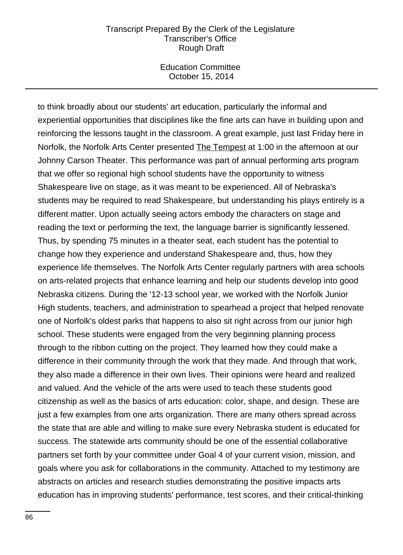Education Committee October 15, 2014

to think broadly about our students' art education, particularly the informal and experiential opportunities that disciplines like the fine arts can have in building upon and reinforcing the lessons taught in the classroom. A great example, just last Friday here in Norfolk, the Norfolk Arts Center presented The Tempest at 1:00 in the afternoon at our Johnny Carson Theater. This performance was part of annual performing arts program that we offer so regional high school students have the opportunity to witness Shakespeare live on stage, as it was meant to be experienced. All of Nebraska's students may be required to read Shakespeare, but understanding his plays entirely is a different matter. Upon actually seeing actors embody the characters on stage and reading the text or performing the text, the language barrier is significantly lessened. Thus, by spending 75 minutes in a theater seat, each student has the potential to change how they experience and understand Shakespeare and, thus, how they experience life themselves. The Norfolk Arts Center regularly partners with area schools on arts-related projects that enhance learning and help our students develop into good Nebraska citizens. During the '12-13 school year, we worked with the Norfolk Junior High students, teachers, and administration to spearhead a project that helped renovate one of Norfolk's oldest parks that happens to also sit right across from our junior high school. These students were engaged from the very beginning planning process through to the ribbon cutting on the project. They learned how they could make a difference in their community through the work that they made. And through that work, they also made a difference in their own lives. Their opinions were heard and realized and valued. And the vehicle of the arts were used to teach these students good citizenship as well as the basics of arts education: color, shape, and design. These are just a few examples from one arts organization. There are many others spread across the state that are able and willing to make sure every Nebraska student is educated for success. The statewide arts community should be one of the essential collaborative partners set forth by your committee under Goal 4 of your current vision, mission, and goals where you ask for collaborations in the community. Attached to my testimony are abstracts on articles and research studies demonstrating the positive impacts arts education has in improving students' performance, test scores, and their critical-thinking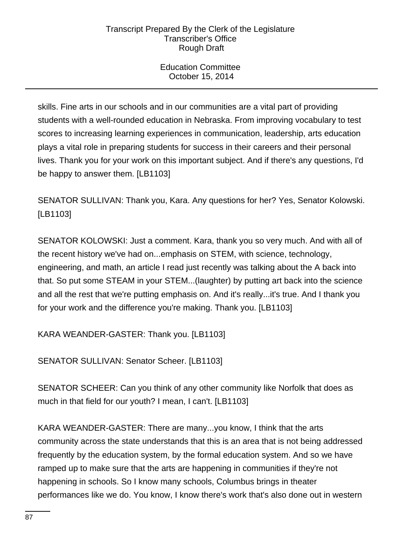Education Committee October 15, 2014

skills. Fine arts in our schools and in our communities are a vital part of providing students with a well-rounded education in Nebraska. From improving vocabulary to test scores to increasing learning experiences in communication, leadership, arts education plays a vital role in preparing students for success in their careers and their personal lives. Thank you for your work on this important subject. And if there's any questions, I'd be happy to answer them. [LB1103]

SENATOR SULLIVAN: Thank you, Kara. Any questions for her? Yes, Senator Kolowski. [LB1103]

SENATOR KOLOWSKI: Just a comment. Kara, thank you so very much. And with all of the recent history we've had on...emphasis on STEM, with science, technology, engineering, and math, an article I read just recently was talking about the A back into that. So put some STEAM in your STEM...(laughter) by putting art back into the science and all the rest that we're putting emphasis on. And it's really...it's true. And I thank you for your work and the difference you're making. Thank you. [LB1103]

KARA WEANDER-GASTER: Thank you. [LB1103]

SENATOR SULLIVAN: Senator Scheer. [LB1103]

SENATOR SCHEER: Can you think of any other community like Norfolk that does as much in that field for our youth? I mean, I can't. [LB1103]

KARA WEANDER-GASTER: There are many...you know, I think that the arts community across the state understands that this is an area that is not being addressed frequently by the education system, by the formal education system. And so we have ramped up to make sure that the arts are happening in communities if they're not happening in schools. So I know many schools, Columbus brings in theater performances like we do. You know, I know there's work that's also done out in western